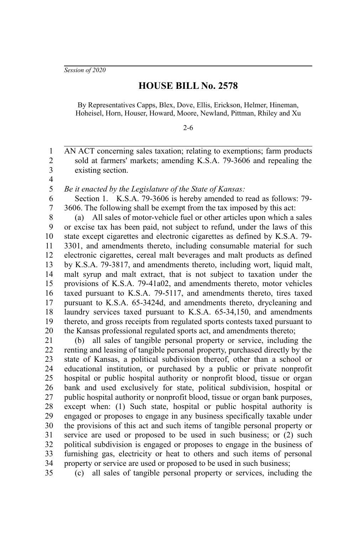*Session of 2020*

## **HOUSE BILL No. 2578**

By Representatives Capps, Blex, Dove, Ellis, Erickson, Helmer, Hineman, Hoheisel, Horn, Houser, Howard, Moore, Newland, Pittman, Rhiley and Xu

## 2-6

AN ACT concerning sales taxation; relating to exemptions; farm products sold at farmers' markets; amending K.S.A. 79-3606 and repealing the existing section. 1 2 3

4 5

*Be it enacted by the Legislature of the State of Kansas:*

Section 1. K.S.A. 79-3606 is hereby amended to read as follows: 79- 3606. The following shall be exempt from the tax imposed by this act: 6 7

(a) All sales of motor-vehicle fuel or other articles upon which a sales or excise tax has been paid, not subject to refund, under the laws of this state except cigarettes and electronic cigarettes as defined by K.S.A. 79- 3301, and amendments thereto, including consumable material for such electronic cigarettes, cereal malt beverages and malt products as defined by K.S.A. 79-3817, and amendments thereto, including wort, liquid malt, malt syrup and malt extract, that is not subject to taxation under the provisions of K.S.A. 79-41a02, and amendments thereto, motor vehicles taxed pursuant to K.S.A. 79-5117, and amendments thereto, tires taxed pursuant to K.S.A. 65-3424d, and amendments thereto, drycleaning and laundry services taxed pursuant to K.S.A. 65-34,150, and amendments thereto, and gross receipts from regulated sports contests taxed pursuant to the Kansas professional regulated sports act, and amendments thereto; 8 9 10 11 12 13 14 15 16 17 18 19 20

(b) all sales of tangible personal property or service, including the renting and leasing of tangible personal property, purchased directly by the state of Kansas, a political subdivision thereof, other than a school or educational institution, or purchased by a public or private nonprofit hospital or public hospital authority or nonprofit blood, tissue or organ bank and used exclusively for state, political subdivision, hospital or public hospital authority or nonprofit blood, tissue or organ bank purposes, except when: (1) Such state, hospital or public hospital authority is engaged or proposes to engage in any business specifically taxable under the provisions of this act and such items of tangible personal property or service are used or proposed to be used in such business; or (2) such political subdivision is engaged or proposes to engage in the business of furnishing gas, electricity or heat to others and such items of personal property or service are used or proposed to be used in such business; 21 22 23 24 25 26 27 28 29 30 31 32 33 34

35

(c) all sales of tangible personal property or services, including the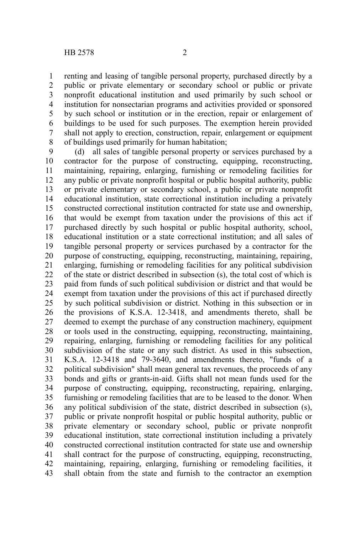renting and leasing of tangible personal property, purchased directly by a public or private elementary or secondary school or public or private nonprofit educational institution and used primarily by such school or institution for nonsectarian programs and activities provided or sponsored by such school or institution or in the erection, repair or enlargement of buildings to be used for such purposes. The exemption herein provided shall not apply to erection, construction, repair, enlargement or equipment of buildings used primarily for human habitation; 1 2 3 4 5 6 7 8

(d) all sales of tangible personal property or services purchased by a contractor for the purpose of constructing, equipping, reconstructing, maintaining, repairing, enlarging, furnishing or remodeling facilities for any public or private nonprofit hospital or public hospital authority, public or private elementary or secondary school, a public or private nonprofit educational institution, state correctional institution including a privately constructed correctional institution contracted for state use and ownership, that would be exempt from taxation under the provisions of this act if purchased directly by such hospital or public hospital authority, school, educational institution or a state correctional institution; and all sales of tangible personal property or services purchased by a contractor for the purpose of constructing, equipping, reconstructing, maintaining, repairing, enlarging, furnishing or remodeling facilities for any political subdivision of the state or district described in subsection (s), the total cost of which is paid from funds of such political subdivision or district and that would be exempt from taxation under the provisions of this act if purchased directly by such political subdivision or district. Nothing in this subsection or in the provisions of K.S.A. 12-3418, and amendments thereto, shall be deemed to exempt the purchase of any construction machinery, equipment or tools used in the constructing, equipping, reconstructing, maintaining, repairing, enlarging, furnishing or remodeling facilities for any political subdivision of the state or any such district. As used in this subsection, K.S.A. 12-3418 and 79-3640, and amendments thereto, "funds of a political subdivision" shall mean general tax revenues, the proceeds of any bonds and gifts or grants-in-aid. Gifts shall not mean funds used for the purpose of constructing, equipping, reconstructing, repairing, enlarging, furnishing or remodeling facilities that are to be leased to the donor. When any political subdivision of the state, district described in subsection (s), public or private nonprofit hospital or public hospital authority, public or private elementary or secondary school, public or private nonprofit educational institution, state correctional institution including a privately constructed correctional institution contracted for state use and ownership shall contract for the purpose of constructing, equipping, reconstructing, maintaining, repairing, enlarging, furnishing or remodeling facilities, it shall obtain from the state and furnish to the contractor an exemption 9 10 11 12 13 14 15 16 17 18 19 20 21 22 23 24 25 26 27 28 29 30 31 32 33 34 35 36 37 38 39 40 41 42 43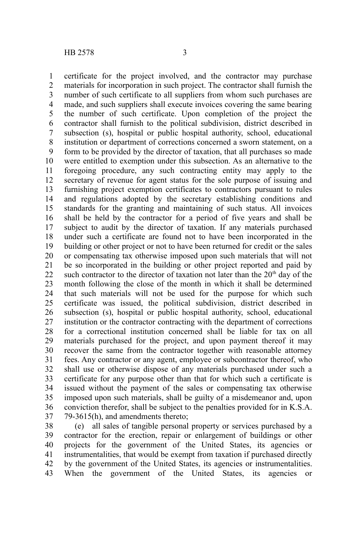certificate for the project involved, and the contractor may purchase materials for incorporation in such project. The contractor shall furnish the number of such certificate to all suppliers from whom such purchases are made, and such suppliers shall execute invoices covering the same bearing the number of such certificate. Upon completion of the project the contractor shall furnish to the political subdivision, district described in subsection (s), hospital or public hospital authority, school, educational institution or department of corrections concerned a sworn statement, on a form to be provided by the director of taxation, that all purchases so made were entitled to exemption under this subsection. As an alternative to the foregoing procedure, any such contracting entity may apply to the secretary of revenue for agent status for the sole purpose of issuing and furnishing project exemption certificates to contractors pursuant to rules and regulations adopted by the secretary establishing conditions and standards for the granting and maintaining of such status. All invoices shall be held by the contractor for a period of five years and shall be subject to audit by the director of taxation. If any materials purchased under such a certificate are found not to have been incorporated in the building or other project or not to have been returned for credit or the sales or compensating tax otherwise imposed upon such materials that will not be so incorporated in the building or other project reported and paid by such contractor to the director of taxation not later than the  $20<sup>th</sup>$  day of the month following the close of the month in which it shall be determined that such materials will not be used for the purpose for which such certificate was issued, the political subdivision, district described in subsection (s), hospital or public hospital authority, school, educational institution or the contractor contracting with the department of corrections for a correctional institution concerned shall be liable for tax on all materials purchased for the project, and upon payment thereof it may recover the same from the contractor together with reasonable attorney fees. Any contractor or any agent, employee or subcontractor thereof, who shall use or otherwise dispose of any materials purchased under such a certificate for any purpose other than that for which such a certificate is issued without the payment of the sales or compensating tax otherwise imposed upon such materials, shall be guilty of a misdemeanor and, upon conviction therefor, shall be subject to the penalties provided for in K.S.A. 79-3615(h), and amendments thereto; 1 2 3 4 5 6 7 8 9 10 11 12 13 14 15 16 17 18 19 20 21 22 23 24 25 26 27 28 29 30 31 32 33 34 35 36 37

(e) all sales of tangible personal property or services purchased by a contractor for the erection, repair or enlargement of buildings or other projects for the government of the United States, its agencies or instrumentalities, that would be exempt from taxation if purchased directly by the government of the United States, its agencies or instrumentalities. When the government of the United States, its agencies or 38 39 40 41 42 43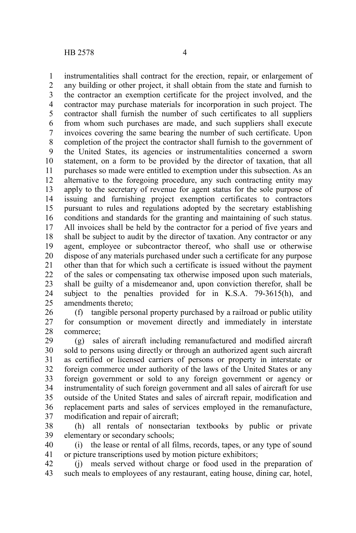instrumentalities shall contract for the erection, repair, or enlargement of any building or other project, it shall obtain from the state and furnish to the contractor an exemption certificate for the project involved, and the contractor may purchase materials for incorporation in such project. The contractor shall furnish the number of such certificates to all suppliers from whom such purchases are made, and such suppliers shall execute invoices covering the same bearing the number of such certificate. Upon completion of the project the contractor shall furnish to the government of the United States, its agencies or instrumentalities concerned a sworn statement, on a form to be provided by the director of taxation, that all purchases so made were entitled to exemption under this subsection. As an alternative to the foregoing procedure, any such contracting entity may apply to the secretary of revenue for agent status for the sole purpose of issuing and furnishing project exemption certificates to contractors pursuant to rules and regulations adopted by the secretary establishing conditions and standards for the granting and maintaining of such status. All invoices shall be held by the contractor for a period of five years and shall be subject to audit by the director of taxation. Any contractor or any agent, employee or subcontractor thereof, who shall use or otherwise dispose of any materials purchased under such a certificate for any purpose other than that for which such a certificate is issued without the payment of the sales or compensating tax otherwise imposed upon such materials, shall be guilty of a misdemeanor and, upon conviction therefor, shall be subject to the penalties provided for in K.S.A. 79-3615(h), and amendments thereto; 1 2 3 4 5 6 7 8 9 10 11 12 13 14 15 16 17 18 19 20 21 22 23 24 25

(f) tangible personal property purchased by a railroad or public utility for consumption or movement directly and immediately in interstate commerce; 26 27 28

(g) sales of aircraft including remanufactured and modified aircraft sold to persons using directly or through an authorized agent such aircraft as certified or licensed carriers of persons or property in interstate or foreign commerce under authority of the laws of the United States or any foreign government or sold to any foreign government or agency or instrumentality of such foreign government and all sales of aircraft for use outside of the United States and sales of aircraft repair, modification and replacement parts and sales of services employed in the remanufacture, modification and repair of aircraft; 29 30 31 32 33 34 35 36 37

(h) all rentals of nonsectarian textbooks by public or private elementary or secondary schools; 38 39

(i) the lease or rental of all films, records, tapes, or any type of sound or picture transcriptions used by motion picture exhibitors; 40 41

(j) meals served without charge or food used in the preparation of such meals to employees of any restaurant, eating house, dining car, hotel, 42 43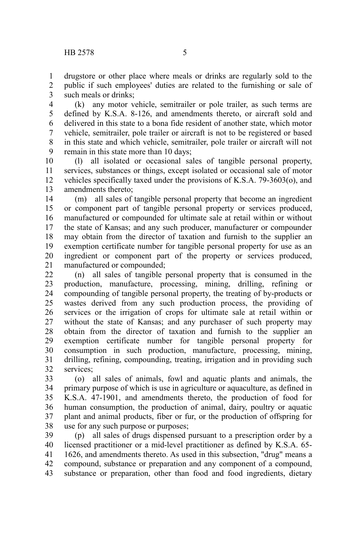drugstore or other place where meals or drinks are regularly sold to the public if such employees' duties are related to the furnishing or sale of such meals or drinks; 1 2 3

(k) any motor vehicle, semitrailer or pole trailer, as such terms are defined by K.S.A. 8-126, and amendments thereto, or aircraft sold and delivered in this state to a bona fide resident of another state, which motor vehicle, semitrailer, pole trailer or aircraft is not to be registered or based in this state and which vehicle, semitrailer, pole trailer or aircraft will not remain in this state more than 10 days; 4 5 6 7 8 9

(l) all isolated or occasional sales of tangible personal property, services, substances or things, except isolated or occasional sale of motor vehicles specifically taxed under the provisions of K.S.A. 79-3603(o), and amendments thereto; 10 11 12 13

(m) all sales of tangible personal property that become an ingredient or component part of tangible personal property or services produced, manufactured or compounded for ultimate sale at retail within or without the state of Kansas; and any such producer, manufacturer or compounder may obtain from the director of taxation and furnish to the supplier an exemption certificate number for tangible personal property for use as an ingredient or component part of the property or services produced, manufactured or compounded; 14 15 16 17 18 19 20 21

(n) all sales of tangible personal property that is consumed in the production, manufacture, processing, mining, drilling, refining or compounding of tangible personal property, the treating of by-products or wastes derived from any such production process, the providing of services or the irrigation of crops for ultimate sale at retail within or without the state of Kansas; and any purchaser of such property may obtain from the director of taxation and furnish to the supplier an exemption certificate number for tangible personal property for consumption in such production, manufacture, processing, mining, drilling, refining, compounding, treating, irrigation and in providing such services; 22 23 24 25 26 27 28 29 30 31 32

(o) all sales of animals, fowl and aquatic plants and animals, the primary purpose of which is use in agriculture or aquaculture, as defined in K.S.A. 47-1901, and amendments thereto, the production of food for human consumption, the production of animal, dairy, poultry or aquatic plant and animal products, fiber or fur, or the production of offspring for use for any such purpose or purposes; 33 34 35 36 37 38

(p) all sales of drugs dispensed pursuant to a prescription order by a licensed practitioner or a mid-level practitioner as defined by K.S.A. 65- 1626, and amendments thereto. As used in this subsection, "drug" means a compound, substance or preparation and any component of a compound, substance or preparation, other than food and food ingredients, dietary 39 40 41 42 43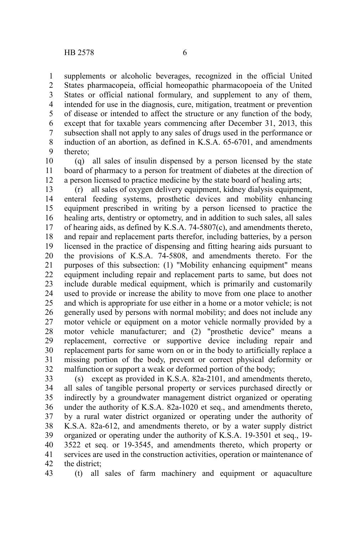supplements or alcoholic beverages, recognized in the official United States pharmacopeia, official homeopathic pharmacopoeia of the United States or official national formulary, and supplement to any of them, intended for use in the diagnosis, cure, mitigation, treatment or prevention of disease or intended to affect the structure or any function of the body, except that for taxable years commencing after December 31, 2013, this subsection shall not apply to any sales of drugs used in the performance or induction of an abortion, as defined in K.S.A. 65-6701, and amendments thereto; 1 2 3 4 5 6 7 8 9

(q) all sales of insulin dispensed by a person licensed by the state board of pharmacy to a person for treatment of diabetes at the direction of a person licensed to practice medicine by the state board of healing arts; 10 11 12

(r) all sales of oxygen delivery equipment, kidney dialysis equipment, enteral feeding systems, prosthetic devices and mobility enhancing equipment prescribed in writing by a person licensed to practice the healing arts, dentistry or optometry, and in addition to such sales, all sales of hearing aids, as defined by K.S.A. 74-5807(c), and amendments thereto, and repair and replacement parts therefor, including batteries, by a person licensed in the practice of dispensing and fitting hearing aids pursuant to the provisions of K.S.A. 74-5808, and amendments thereto. For the purposes of this subsection: (1) "Mobility enhancing equipment" means equipment including repair and replacement parts to same, but does not include durable medical equipment, which is primarily and customarily used to provide or increase the ability to move from one place to another and which is appropriate for use either in a home or a motor vehicle; is not generally used by persons with normal mobility; and does not include any motor vehicle or equipment on a motor vehicle normally provided by a motor vehicle manufacturer; and (2) "prosthetic device" means a replacement, corrective or supportive device including repair and replacement parts for same worn on or in the body to artificially replace a missing portion of the body, prevent or correct physical deformity or malfunction or support a weak or deformed portion of the body; 13 14 15 16 17 18 19 20 21 22 23 24 25 26 27 28 29 30 31 32

(s) except as provided in K.S.A. 82a-2101, and amendments thereto, all sales of tangible personal property or services purchased directly or indirectly by a groundwater management district organized or operating under the authority of K.S.A. 82a-1020 et seq., and amendments thereto, by a rural water district organized or operating under the authority of K.S.A. 82a-612, and amendments thereto, or by a water supply district organized or operating under the authority of K.S.A. 19-3501 et seq., 19- 3522 et seq. or 19-3545, and amendments thereto, which property or services are used in the construction activities, operation or maintenance of the district; 33 34 35 36 37 38 39 40 41 42

43

(t) all sales of farm machinery and equipment or aquaculture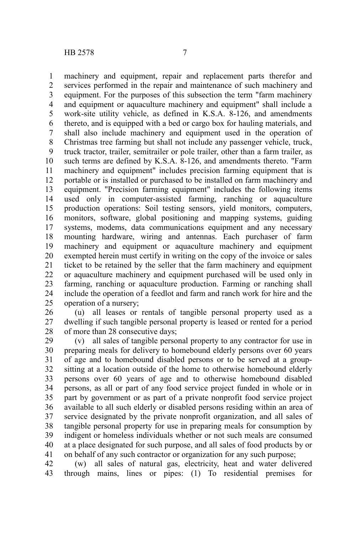machinery and equipment, repair and replacement parts therefor and services performed in the repair and maintenance of such machinery and equipment. For the purposes of this subsection the term "farm machinery and equipment or aquaculture machinery and equipment" shall include a work-site utility vehicle, as defined in K.S.A. 8-126, and amendments thereto, and is equipped with a bed or cargo box for hauling materials, and shall also include machinery and equipment used in the operation of Christmas tree farming but shall not include any passenger vehicle, truck, truck tractor, trailer, semitrailer or pole trailer, other than a farm trailer, as such terms are defined by K.S.A. 8-126, and amendments thereto. "Farm machinery and equipment" includes precision farming equipment that is portable or is installed or purchased to be installed on farm machinery and equipment. "Precision farming equipment" includes the following items used only in computer-assisted farming, ranching or aquaculture production operations: Soil testing sensors, yield monitors, computers, monitors, software, global positioning and mapping systems, guiding systems, modems, data communications equipment and any necessary mounting hardware, wiring and antennas. Each purchaser of farm machinery and equipment or aquaculture machinery and equipment exempted herein must certify in writing on the copy of the invoice or sales ticket to be retained by the seller that the farm machinery and equipment or aquaculture machinery and equipment purchased will be used only in farming, ranching or aquaculture production. Farming or ranching shall include the operation of a feedlot and farm and ranch work for hire and the operation of a nursery; 1 2 3 4 5 6 7 8 9 10 11 12 13 14 15 16 17 18 19 20 21 22 23 24 25

(u) all leases or rentals of tangible personal property used as a dwelling if such tangible personal property is leased or rented for a period of more than 28 consecutive days; 26 27 28

(v) all sales of tangible personal property to any contractor for use in preparing meals for delivery to homebound elderly persons over 60 years of age and to homebound disabled persons or to be served at a groupsitting at a location outside of the home to otherwise homebound elderly persons over 60 years of age and to otherwise homebound disabled persons, as all or part of any food service project funded in whole or in part by government or as part of a private nonprofit food service project available to all such elderly or disabled persons residing within an area of service designated by the private nonprofit organization, and all sales of tangible personal property for use in preparing meals for consumption by indigent or homeless individuals whether or not such meals are consumed at a place designated for such purpose, and all sales of food products by or on behalf of any such contractor or organization for any such purpose; 29 30 31 32 33 34 35 36 37 38 39 40 41

(w) all sales of natural gas, electricity, heat and water delivered through mains, lines or pipes: (1) To residential premises for 42 43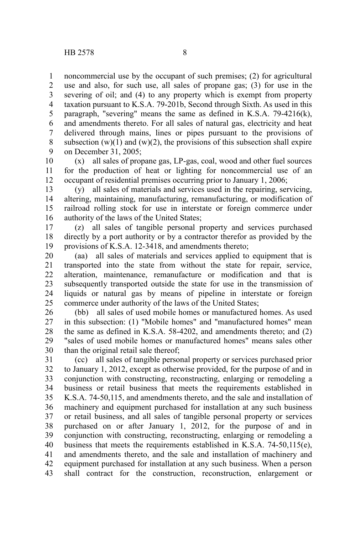noncommercial use by the occupant of such premises; (2) for agricultural use and also, for such use, all sales of propane gas; (3) for use in the severing of oil; and (4) to any property which is exempt from property taxation pursuant to K.S.A. 79-201b, Second through Sixth. As used in this paragraph, "severing" means the same as defined in K.S.A. 79-4216(k), and amendments thereto. For all sales of natural gas, electricity and heat delivered through mains, lines or pipes pursuant to the provisions of subsection  $(w)(1)$  and  $(w)(2)$ , the provisions of this subsection shall expire on December 31, 2005; 1 2 3 4 5 6 7 8 9

(x) all sales of propane gas, LP-gas, coal, wood and other fuel sources for the production of heat or lighting for noncommercial use of an occupant of residential premises occurring prior to January 1, 2006; 10 11 12

(y) all sales of materials and services used in the repairing, servicing, altering, maintaining, manufacturing, remanufacturing, or modification of railroad rolling stock for use in interstate or foreign commerce under authority of the laws of the United States; 13 14 15 16

(z) all sales of tangible personal property and services purchased directly by a port authority or by a contractor therefor as provided by the provisions of K.S.A. 12-3418, and amendments thereto; 17 18 19

(aa) all sales of materials and services applied to equipment that is transported into the state from without the state for repair, service, alteration, maintenance, remanufacture or modification and that is subsequently transported outside the state for use in the transmission of liquids or natural gas by means of pipeline in interstate or foreign commerce under authority of the laws of the United States; 20 21 22 23 24 25

(bb) all sales of used mobile homes or manufactured homes. As used in this subsection: (1) "Mobile homes" and "manufactured homes" mean the same as defined in K.S.A. 58-4202, and amendments thereto; and (2) "sales of used mobile homes or manufactured homes" means sales other than the original retail sale thereof; 26 27 28 29 30

(cc) all sales of tangible personal property or services purchased prior to January 1, 2012, except as otherwise provided, for the purpose of and in conjunction with constructing, reconstructing, enlarging or remodeling a business or retail business that meets the requirements established in K.S.A. 74-50,115, and amendments thereto, and the sale and installation of machinery and equipment purchased for installation at any such business or retail business, and all sales of tangible personal property or services purchased on or after January 1, 2012, for the purpose of and in conjunction with constructing, reconstructing, enlarging or remodeling a business that meets the requirements established in K.S.A. 74-50,115(e), and amendments thereto, and the sale and installation of machinery and equipment purchased for installation at any such business. When a person shall contract for the construction, reconstruction, enlargement or 31 32 33 34 35 36 37 38 39 40 41 42 43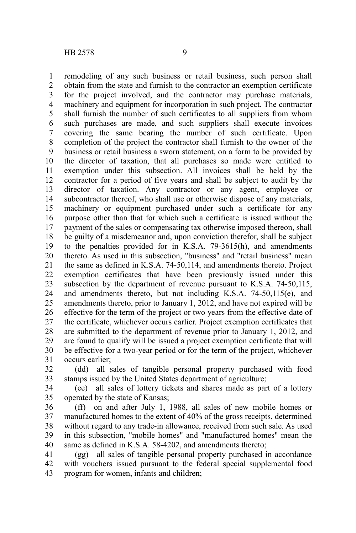remodeling of any such business or retail business, such person shall obtain from the state and furnish to the contractor an exemption certificate for the project involved, and the contractor may purchase materials, machinery and equipment for incorporation in such project. The contractor shall furnish the number of such certificates to all suppliers from whom such purchases are made, and such suppliers shall execute invoices covering the same bearing the number of such certificate. Upon completion of the project the contractor shall furnish to the owner of the business or retail business a sworn statement, on a form to be provided by the director of taxation, that all purchases so made were entitled to exemption under this subsection. All invoices shall be held by the contractor for a period of five years and shall be subject to audit by the director of taxation. Any contractor or any agent, employee or subcontractor thereof, who shall use or otherwise dispose of any materials, machinery or equipment purchased under such a certificate for any purpose other than that for which such a certificate is issued without the payment of the sales or compensating tax otherwise imposed thereon, shall be guilty of a misdemeanor and, upon conviction therefor, shall be subject to the penalties provided for in K.S.A. 79-3615(h), and amendments thereto. As used in this subsection, "business" and "retail business" mean the same as defined in K.S.A. 74-50,114, and amendments thereto. Project exemption certificates that have been previously issued under this subsection by the department of revenue pursuant to K.S.A. 74-50,115, and amendments thereto, but not including K.S.A. 74-50,115(e), and amendments thereto, prior to January 1, 2012, and have not expired will be effective for the term of the project or two years from the effective date of the certificate, whichever occurs earlier. Project exemption certificates that are submitted to the department of revenue prior to January 1, 2012, and are found to qualify will be issued a project exemption certificate that will be effective for a two-year period or for the term of the project, whichever occurs earlier; 1 2 3 4 5 6 7 8 9 10 11 12 13 14 15 16 17 18 19 20 21 22 23 24 25 26 27 28 29 30 31

(dd) all sales of tangible personal property purchased with food stamps issued by the United States department of agriculture; 32 33

(ee) all sales of lottery tickets and shares made as part of a lottery operated by the state of Kansas; 34 35

(ff) on and after July 1, 1988, all sales of new mobile homes or manufactured homes to the extent of 40% of the gross receipts, determined without regard to any trade-in allowance, received from such sale. As used in this subsection, "mobile homes" and "manufactured homes" mean the same as defined in K.S.A. 58-4202, and amendments thereto: 36 37 38 39 40

(gg) all sales of tangible personal property purchased in accordance with vouchers issued pursuant to the federal special supplemental food program for women, infants and children; 41 42 43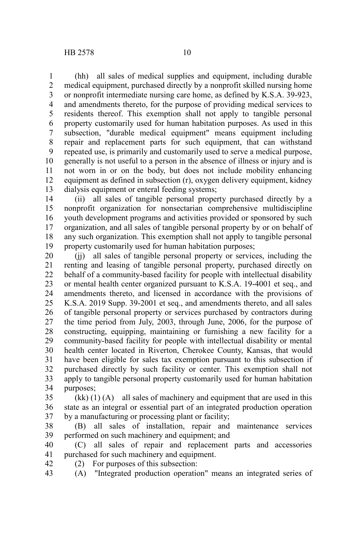(hh) all sales of medical supplies and equipment, including durable medical equipment, purchased directly by a nonprofit skilled nursing home or nonprofit intermediate nursing care home, as defined by K.S.A. 39-923, and amendments thereto, for the purpose of providing medical services to residents thereof. This exemption shall not apply to tangible personal property customarily used for human habitation purposes. As used in this subsection, "durable medical equipment" means equipment including repair and replacement parts for such equipment, that can withstand repeated use, is primarily and customarily used to serve a medical purpose, generally is not useful to a person in the absence of illness or injury and is not worn in or on the body, but does not include mobility enhancing equipment as defined in subsection (r), oxygen delivery equipment, kidney dialysis equipment or enteral feeding systems; 1 2 3 4 5 6 7 8 9 10 11 12 13

(ii) all sales of tangible personal property purchased directly by a nonprofit organization for nonsectarian comprehensive multidiscipline youth development programs and activities provided or sponsored by such organization, and all sales of tangible personal property by or on behalf of any such organization. This exemption shall not apply to tangible personal property customarily used for human habitation purposes; 14 15 16 17 18 19

(jj) all sales of tangible personal property or services, including the renting and leasing of tangible personal property, purchased directly on behalf of a community-based facility for people with intellectual disability or mental health center organized pursuant to K.S.A. 19-4001 et seq., and amendments thereto, and licensed in accordance with the provisions of K.S.A. 2019 Supp. 39-2001 et seq., and amendments thereto, and all sales of tangible personal property or services purchased by contractors during the time period from July, 2003, through June, 2006, for the purpose of constructing, equipping, maintaining or furnishing a new facility for a community-based facility for people with intellectual disability or mental health center located in Riverton, Cherokee County, Kansas, that would have been eligible for sales tax exemption pursuant to this subsection if purchased directly by such facility or center. This exemption shall not apply to tangible personal property customarily used for human habitation purposes; 20 21 22 23 24 25 26 27 28 29 30 31 32 33 34

 $(kk)$  (1) (A) all sales of machinery and equipment that are used in this state as an integral or essential part of an integrated production operation by a manufacturing or processing plant or facility; 35 36 37

(B) all sales of installation, repair and maintenance services performed on such machinery and equipment; and 38 39

(C) all sales of repair and replacement parts and accessories purchased for such machinery and equipment. 40 41

(2) For purposes of this subsection: 42

(A) "Integrated production operation" means an integrated series of 43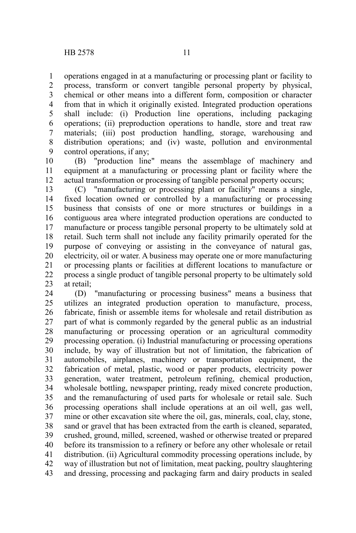operations engaged in at a manufacturing or processing plant or facility to process, transform or convert tangible personal property by physical, chemical or other means into a different form, composition or character from that in which it originally existed. Integrated production operations shall include: (i) Production line operations, including packaging operations; (ii) preproduction operations to handle, store and treat raw materials; (iii) post production handling, storage, warehousing and distribution operations; and (iv) waste, pollution and environmental control operations, if any; 1 2 3 4 5 6 7 8 9

(B) "production line" means the assemblage of machinery and equipment at a manufacturing or processing plant or facility where the actual transformation or processing of tangible personal property occurs; 10 11 12

(C) "manufacturing or processing plant or facility" means a single, fixed location owned or controlled by a manufacturing or processing business that consists of one or more structures or buildings in a contiguous area where integrated production operations are conducted to manufacture or process tangible personal property to be ultimately sold at retail. Such term shall not include any facility primarily operated for the purpose of conveying or assisting in the conveyance of natural gas, electricity, oil or water. A business may operate one or more manufacturing or processing plants or facilities at different locations to manufacture or process a single product of tangible personal property to be ultimately sold at retail; 13 14 15 16 17 18 19 20 21 22 23

(D) "manufacturing or processing business" means a business that utilizes an integrated production operation to manufacture, process, fabricate, finish or assemble items for wholesale and retail distribution as part of what is commonly regarded by the general public as an industrial manufacturing or processing operation or an agricultural commodity processing operation. (i) Industrial manufacturing or processing operations include, by way of illustration but not of limitation, the fabrication of automobiles, airplanes, machinery or transportation equipment, the fabrication of metal, plastic, wood or paper products, electricity power generation, water treatment, petroleum refining, chemical production, wholesale bottling, newspaper printing, ready mixed concrete production, and the remanufacturing of used parts for wholesale or retail sale. Such processing operations shall include operations at an oil well, gas well, mine or other excavation site where the oil, gas, minerals, coal, clay, stone, sand or gravel that has been extracted from the earth is cleaned, separated, crushed, ground, milled, screened, washed or otherwise treated or prepared before its transmission to a refinery or before any other wholesale or retail distribution. (ii) Agricultural commodity processing operations include, by way of illustration but not of limitation, meat packing, poultry slaughtering and dressing, processing and packaging farm and dairy products in sealed 24 25 26 27 28 29 30 31 32 33 34 35 36 37 38 39 40 41 42 43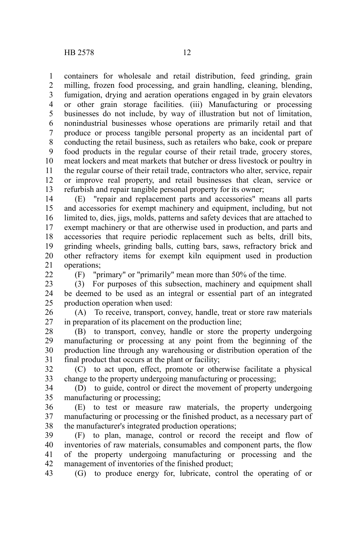containers for wholesale and retail distribution, feed grinding, grain milling, frozen food processing, and grain handling, cleaning, blending, fumigation, drying and aeration operations engaged in by grain elevators or other grain storage facilities. (iii) Manufacturing or processing businesses do not include, by way of illustration but not of limitation, nonindustrial businesses whose operations are primarily retail and that produce or process tangible personal property as an incidental part of conducting the retail business, such as retailers who bake, cook or prepare food products in the regular course of their retail trade, grocery stores, meat lockers and meat markets that butcher or dress livestock or poultry in the regular course of their retail trade, contractors who alter, service, repair or improve real property, and retail businesses that clean, service or refurbish and repair tangible personal property for its owner; 1 2 3 4 5 6 7 8 9 10 11 12 13

(E) "repair and replacement parts and accessories" means all parts and accessories for exempt machinery and equipment, including, but not limited to, dies, jigs, molds, patterns and safety devices that are attached to exempt machinery or that are otherwise used in production, and parts and accessories that require periodic replacement such as belts, drill bits, grinding wheels, grinding balls, cutting bars, saws, refractory brick and other refractory items for exempt kiln equipment used in production operations; 14 15 16 17 18 19 20 21

 $22$ 

(F) "primary" or "primarily" mean more than 50% of the time.

(3) For purposes of this subsection, machinery and equipment shall be deemed to be used as an integral or essential part of an integrated production operation when used: 23 24 25

(A) To receive, transport, convey, handle, treat or store raw materials in preparation of its placement on the production line; 26 27

(B) to transport, convey, handle or store the property undergoing manufacturing or processing at any point from the beginning of the production line through any warehousing or distribution operation of the final product that occurs at the plant or facility; 28 29 30 31

(C) to act upon, effect, promote or otherwise facilitate a physical change to the property undergoing manufacturing or processing; 32 33

(D) to guide, control or direct the movement of property undergoing manufacturing or processing; 34 35

(E) to test or measure raw materials, the property undergoing manufacturing or processing or the finished product, as a necessary part of the manufacturer's integrated production operations; 36 37 38

(F) to plan, manage, control or record the receipt and flow of inventories of raw materials, consumables and component parts, the flow of the property undergoing manufacturing or processing and the management of inventories of the finished product; 39 40 41 42

(G) to produce energy for, lubricate, control the operating of or 43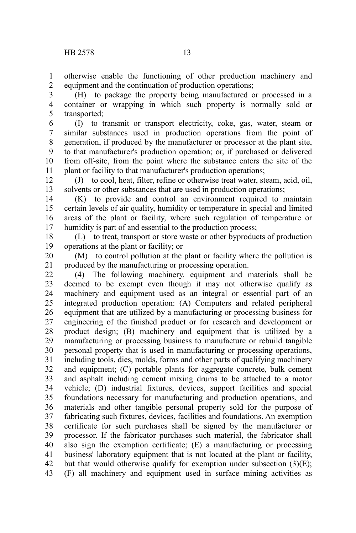otherwise enable the functioning of other production machinery and equipment and the continuation of production operations; 1 2

(H) to package the property being manufactured or processed in a container or wrapping in which such property is normally sold or transported; 3 4 5

(I) to transmit or transport electricity, coke, gas, water, steam or similar substances used in production operations from the point of generation, if produced by the manufacturer or processor at the plant site, to that manufacturer's production operation; or, if purchased or delivered from off-site, from the point where the substance enters the site of the plant or facility to that manufacturer's production operations; 6 7 8 9 10 11

(J) to cool, heat, filter, refine or otherwise treat water, steam, acid, oil, solvents or other substances that are used in production operations; 12 13

(K) to provide and control an environment required to maintain certain levels of air quality, humidity or temperature in special and limited areas of the plant or facility, where such regulation of temperature or humidity is part of and essential to the production process; 14 15 16 17

(L) to treat, transport or store waste or other byproducts of production operations at the plant or facility; or 18 19

(M) to control pollution at the plant or facility where the pollution is produced by the manufacturing or processing operation. 20 21

(4) The following machinery, equipment and materials shall be deemed to be exempt even though it may not otherwise qualify as machinery and equipment used as an integral or essential part of an integrated production operation: (A) Computers and related peripheral equipment that are utilized by a manufacturing or processing business for engineering of the finished product or for research and development or product design; (B) machinery and equipment that is utilized by a manufacturing or processing business to manufacture or rebuild tangible personal property that is used in manufacturing or processing operations, including tools, dies, molds, forms and other parts of qualifying machinery and equipment; (C) portable plants for aggregate concrete, bulk cement and asphalt including cement mixing drums to be attached to a motor vehicle; (D) industrial fixtures, devices, support facilities and special foundations necessary for manufacturing and production operations, and materials and other tangible personal property sold for the purpose of fabricating such fixtures, devices, facilities and foundations. An exemption certificate for such purchases shall be signed by the manufacturer or processor. If the fabricator purchases such material, the fabricator shall also sign the exemption certificate; (E) a manufacturing or processing business' laboratory equipment that is not located at the plant or facility, but that would otherwise qualify for exemption under subsection  $(3)(E)$ ; (F) all machinery and equipment used in surface mining activities as 22 23 24 25 26 27 28 29 30 31 32 33 34 35 36 37 38 39 40 41 42 43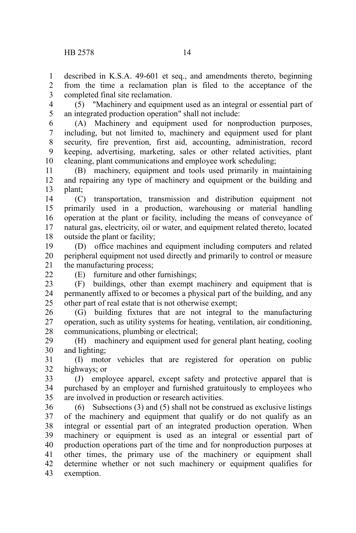described in K.S.A. 49-601 et seq., and amendments thereto, beginning from the time a reclamation plan is filed to the acceptance of the completed final site reclamation. 1  $\mathcal{L}$ 3

(5) "Machinery and equipment used as an integral or essential part of an integrated production operation" shall not include: 4 5

(A) Machinery and equipment used for nonproduction purposes, including, but not limited to, machinery and equipment used for plant security, fire prevention, first aid, accounting, administration, record keeping, advertising, marketing, sales or other related activities, plant cleaning, plant communications and employee work scheduling; 6 7 8 9 10

(B) machinery, equipment and tools used primarily in maintaining and repairing any type of machinery and equipment or the building and plant; 11 12 13

(C) transportation, transmission and distribution equipment not primarily used in a production, warehousing or material handling operation at the plant or facility, including the means of conveyance of natural gas, electricity, oil or water, and equipment related thereto, located outside the plant or facility; 14 15 16 17 18

(D) office machines and equipment including computers and related peripheral equipment not used directly and primarily to control or measure the manufacturing process; 19 20 21

 $22$ 

(E) furniture and other furnishings;

(F) buildings, other than exempt machinery and equipment that is permanently affixed to or becomes a physical part of the building, and any other part of real estate that is not otherwise exempt; 23 24 25

(G) building fixtures that are not integral to the manufacturing operation, such as utility systems for heating, ventilation, air conditioning, communications, plumbing or electrical; 26 27 28

(H) machinery and equipment used for general plant heating, cooling and lighting; 29 30

(I) motor vehicles that are registered for operation on public highways; or 31 32

(J) employee apparel, except safety and protective apparel that is purchased by an employer and furnished gratuitously to employees who are involved in production or research activities. 33 34 35

(6) Subsections (3) and (5) shall not be construed as exclusive listings of the machinery and equipment that qualify or do not qualify as an integral or essential part of an integrated production operation. When machinery or equipment is used as an integral or essential part of production operations part of the time and for nonproduction purposes at other times, the primary use of the machinery or equipment shall determine whether or not such machinery or equipment qualifies for exemption. 36 37 38 39 40 41 42 43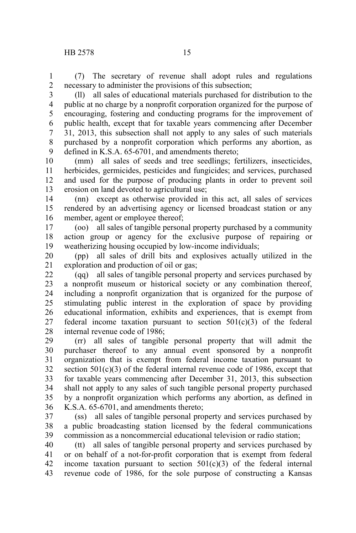(7) The secretary of revenue shall adopt rules and regulations necessary to administer the provisions of this subsection; 1 2

(ll) all sales of educational materials purchased for distribution to the public at no charge by a nonprofit corporation organized for the purpose of encouraging, fostering and conducting programs for the improvement of public health, except that for taxable years commencing after December 31, 2013, this subsection shall not apply to any sales of such materials purchased by a nonprofit corporation which performs any abortion, as defined in K.S.A. 65-6701, and amendments thereto; 3 4 5 6 7 8 9

(mm) all sales of seeds and tree seedlings; fertilizers, insecticides, herbicides, germicides, pesticides and fungicides; and services, purchased and used for the purpose of producing plants in order to prevent soil erosion on land devoted to agricultural use; 10 11 12 13

(nn) except as otherwise provided in this act, all sales of services rendered by an advertising agency or licensed broadcast station or any member, agent or employee thereof; 14 15 16

(oo) all sales of tangible personal property purchased by a community action group or agency for the exclusive purpose of repairing or weatherizing housing occupied by low-income individuals; 17 18 19

(pp) all sales of drill bits and explosives actually utilized in the exploration and production of oil or gas; 20 21

(qq) all sales of tangible personal property and services purchased by a nonprofit museum or historical society or any combination thereof, including a nonprofit organization that is organized for the purpose of stimulating public interest in the exploration of space by providing educational information, exhibits and experiences, that is exempt from federal income taxation pursuant to section  $501(c)(3)$  of the federal internal revenue code of 1986; 22 23 24 25 26 27 28

(rr) all sales of tangible personal property that will admit the purchaser thereof to any annual event sponsored by a nonprofit organization that is exempt from federal income taxation pursuant to section  $501(c)(3)$  of the federal internal revenue code of 1986, except that for taxable years commencing after December 31, 2013, this subsection shall not apply to any sales of such tangible personal property purchased by a nonprofit organization which performs any abortion, as defined in K.S.A. 65-6701, and amendments thereto; 29 30 31 32 33 34 35 36

(ss) all sales of tangible personal property and services purchased by a public broadcasting station licensed by the federal communications commission as a noncommercial educational television or radio station; 37 38 39

(tt) all sales of tangible personal property and services purchased by or on behalf of a not-for-profit corporation that is exempt from federal income taxation pursuant to section  $501(c)(3)$  of the federal internal revenue code of 1986, for the sole purpose of constructing a Kansas 40 41 42 43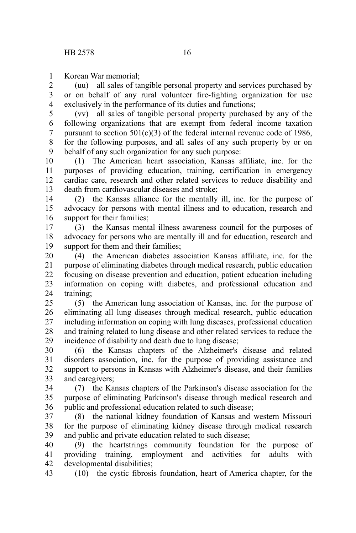Korean War memorial; 1

(uu) all sales of tangible personal property and services purchased by or on behalf of any rural volunteer fire-fighting organization for use exclusively in the performance of its duties and functions; 2 3 4

(vv) all sales of tangible personal property purchased by any of the following organizations that are exempt from federal income taxation pursuant to section  $501(c)(3)$  of the federal internal revenue code of 1986, for the following purposes, and all sales of any such property by or on behalf of any such organization for any such purpose: 5 6 7 8 9

(1) The American heart association, Kansas affiliate, inc. for the purposes of providing education, training, certification in emergency cardiac care, research and other related services to reduce disability and death from cardiovascular diseases and stroke; 10 11 12 13

(2) the Kansas alliance for the mentally ill, inc. for the purpose of advocacy for persons with mental illness and to education, research and support for their families; 14 15 16

(3) the Kansas mental illness awareness council for the purposes of advocacy for persons who are mentally ill and for education, research and support for them and their families; 17 18 19

(4) the American diabetes association Kansas affiliate, inc. for the purpose of eliminating diabetes through medical research, public education focusing on disease prevention and education, patient education including information on coping with diabetes, and professional education and training; 20 21 22 23 24

(5) the American lung association of Kansas, inc. for the purpose of eliminating all lung diseases through medical research, public education including information on coping with lung diseases, professional education and training related to lung disease and other related services to reduce the incidence of disability and death due to lung disease;  $25$ 26 27 28 29

(6) the Kansas chapters of the Alzheimer's disease and related disorders association, inc. for the purpose of providing assistance and support to persons in Kansas with Alzheimer's disease, and their families and caregivers; 30 31 32 33

(7) the Kansas chapters of the Parkinson's disease association for the purpose of eliminating Parkinson's disease through medical research and public and professional education related to such disease; 34 35 36

(8) the national kidney foundation of Kansas and western Missouri for the purpose of eliminating kidney disease through medical research and public and private education related to such disease; 37 38 39

(9) the heartstrings community foundation for the purpose of providing training, employment and activities for adults with developmental disabilities; 40 41 42

(10) the cystic fibrosis foundation, heart of America chapter, for the 43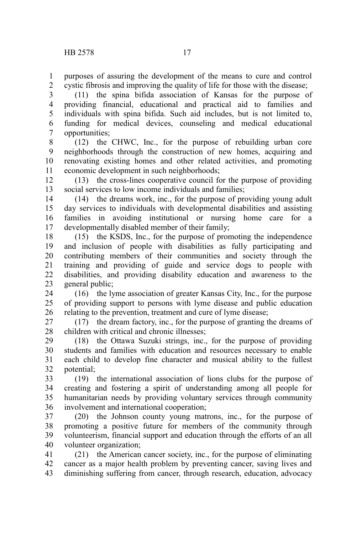purposes of assuring the development of the means to cure and control cystic fibrosis and improving the quality of life for those with the disease; 1 2

(11) the spina bifida association of Kansas for the purpose of providing financial, educational and practical aid to families and individuals with spina bifida. Such aid includes, but is not limited to, funding for medical devices, counseling and medical educational opportunities; 3 4 5 6 7

(12) the CHWC, Inc., for the purpose of rebuilding urban core neighborhoods through the construction of new homes, acquiring and renovating existing homes and other related activities, and promoting economic development in such neighborhoods; 8 9 10 11

(13) the cross-lines cooperative council for the purpose of providing social services to low income individuals and families; 12 13

(14) the dreams work, inc., for the purpose of providing young adult day services to individuals with developmental disabilities and assisting families in avoiding institutional or nursing home care for a developmentally disabled member of their family; 14 15 16 17

(15) the KSDS, Inc., for the purpose of promoting the independence and inclusion of people with disabilities as fully participating and contributing members of their communities and society through the training and providing of guide and service dogs to people with disabilities, and providing disability education and awareness to the general public; 18 19 20 21 22 23

(16) the lyme association of greater Kansas City, Inc., for the purpose of providing support to persons with lyme disease and public education relating to the prevention, treatment and cure of lyme disease; 24 25 26

(17) the dream factory, inc., for the purpose of granting the dreams of children with critical and chronic illnesses; 27 28

(18) the Ottawa Suzuki strings, inc., for the purpose of providing students and families with education and resources necessary to enable each child to develop fine character and musical ability to the fullest potential; 29 30 31 32

(19) the international association of lions clubs for the purpose of creating and fostering a spirit of understanding among all people for humanitarian needs by providing voluntary services through community involvement and international cooperation; 33 34 35 36

(20) the Johnson county young matrons, inc., for the purpose of promoting a positive future for members of the community through volunteerism, financial support and education through the efforts of an all volunteer organization; 37 38 39 40

(21) the American cancer society, inc., for the purpose of eliminating cancer as a major health problem by preventing cancer, saving lives and diminishing suffering from cancer, through research, education, advocacy 41 42 43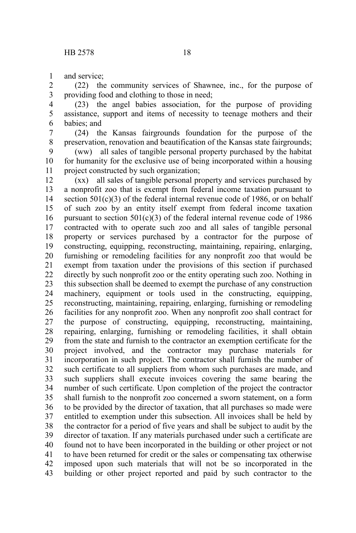and service; 1

(22) the community services of Shawnee, inc., for the purpose of providing food and clothing to those in need; 2 3

(23) the angel babies association, for the purpose of providing assistance, support and items of necessity to teenage mothers and their babies; and 4 5 6

(24) the Kansas fairgrounds foundation for the purpose of the preservation, renovation and beautification of the Kansas state fairgrounds; 7 8

(ww) all sales of tangible personal property purchased by the habitat for humanity for the exclusive use of being incorporated within a housing project constructed by such organization; 9 10 11

(xx) all sales of tangible personal property and services purchased by a nonprofit zoo that is exempt from federal income taxation pursuant to section  $501(c)(3)$  of the federal internal revenue code of 1986, or on behalf of such zoo by an entity itself exempt from federal income taxation pursuant to section  $501(c)(3)$  of the federal internal revenue code of 1986 contracted with to operate such zoo and all sales of tangible personal property or services purchased by a contractor for the purpose of constructing, equipping, reconstructing, maintaining, repairing, enlarging, furnishing or remodeling facilities for any nonprofit zoo that would be exempt from taxation under the provisions of this section if purchased directly by such nonprofit zoo or the entity operating such zoo. Nothing in this subsection shall be deemed to exempt the purchase of any construction machinery, equipment or tools used in the constructing, equipping, reconstructing, maintaining, repairing, enlarging, furnishing or remodeling facilities for any nonprofit zoo. When any nonprofit zoo shall contract for the purpose of constructing, equipping, reconstructing, maintaining, repairing, enlarging, furnishing or remodeling facilities, it shall obtain from the state and furnish to the contractor an exemption certificate for the project involved, and the contractor may purchase materials for incorporation in such project. The contractor shall furnish the number of such certificate to all suppliers from whom such purchases are made, and such suppliers shall execute invoices covering the same bearing the number of such certificate. Upon completion of the project the contractor shall furnish to the nonprofit zoo concerned a sworn statement, on a form to be provided by the director of taxation, that all purchases so made were entitled to exemption under this subsection. All invoices shall be held by the contractor for a period of five years and shall be subject to audit by the director of taxation. If any materials purchased under such a certificate are found not to have been incorporated in the building or other project or not to have been returned for credit or the sales or compensating tax otherwise imposed upon such materials that will not be so incorporated in the building or other project reported and paid by such contractor to the 12 13 14 15 16 17 18 19 20 21 22 23 24 25 26 27 28 29 30 31 32 33 34 35 36 37 38 39 40 41 42 43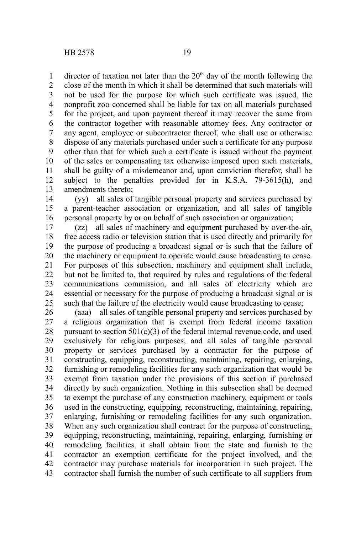director of taxation not later than the  $20<sup>th</sup>$  day of the month following the close of the month in which it shall be determined that such materials will not be used for the purpose for which such certificate was issued, the nonprofit zoo concerned shall be liable for tax on all materials purchased for the project, and upon payment thereof it may recover the same from the contractor together with reasonable attorney fees. Any contractor or any agent, employee or subcontractor thereof, who shall use or otherwise dispose of any materials purchased under such a certificate for any purpose other than that for which such a certificate is issued without the payment of the sales or compensating tax otherwise imposed upon such materials, shall be guilty of a misdemeanor and, upon conviction therefor, shall be subject to the penalties provided for in K.S.A. 79-3615(h), and amendments thereto; 1 2 3 4 5 6 7 8 9 10 11 12 13

(yy) all sales of tangible personal property and services purchased by a parent-teacher association or organization, and all sales of tangible personal property by or on behalf of such association or organization; 14 15 16

(zz) all sales of machinery and equipment purchased by over-the-air, free access radio or television station that is used directly and primarily for the purpose of producing a broadcast signal or is such that the failure of the machinery or equipment to operate would cause broadcasting to cease. For purposes of this subsection, machinery and equipment shall include, but not be limited to, that required by rules and regulations of the federal communications commission, and all sales of electricity which are essential or necessary for the purpose of producing a broadcast signal or is such that the failure of the electricity would cause broadcasting to cease; 17 18 19 20 21 22 23 24 25

(aaa) all sales of tangible personal property and services purchased by a religious organization that is exempt from federal income taxation pursuant to section  $501(c)(3)$  of the federal internal revenue code, and used exclusively for religious purposes, and all sales of tangible personal property or services purchased by a contractor for the purpose of constructing, equipping, reconstructing, maintaining, repairing, enlarging, furnishing or remodeling facilities for any such organization that would be exempt from taxation under the provisions of this section if purchased directly by such organization. Nothing in this subsection shall be deemed to exempt the purchase of any construction machinery, equipment or tools used in the constructing, equipping, reconstructing, maintaining, repairing, enlarging, furnishing or remodeling facilities for any such organization. When any such organization shall contract for the purpose of constructing, equipping, reconstructing, maintaining, repairing, enlarging, furnishing or remodeling facilities, it shall obtain from the state and furnish to the contractor an exemption certificate for the project involved, and the contractor may purchase materials for incorporation in such project. The contractor shall furnish the number of such certificate to all suppliers from 26 27 28 29 30 31 32 33 34 35 36 37 38 39 40 41 42 43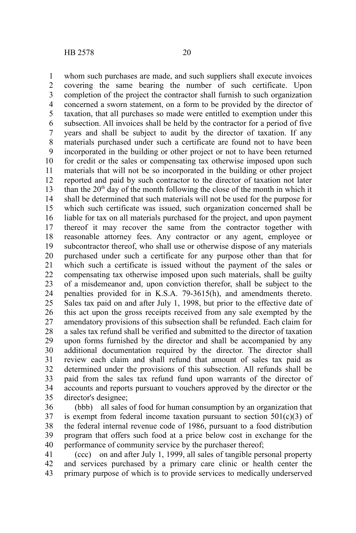whom such purchases are made, and such suppliers shall execute invoices covering the same bearing the number of such certificate. Upon completion of the project the contractor shall furnish to such organization concerned a sworn statement, on a form to be provided by the director of taxation, that all purchases so made were entitled to exemption under this subsection. All invoices shall be held by the contractor for a period of five years and shall be subject to audit by the director of taxation. If any materials purchased under such a certificate are found not to have been incorporated in the building or other project or not to have been returned for credit or the sales or compensating tax otherwise imposed upon such materials that will not be so incorporated in the building or other project reported and paid by such contractor to the director of taxation not later than the  $20<sup>th</sup>$  day of the month following the close of the month in which it shall be determined that such materials will not be used for the purpose for which such certificate was issued, such organization concerned shall be liable for tax on all materials purchased for the project, and upon payment thereof it may recover the same from the contractor together with reasonable attorney fees. Any contractor or any agent, employee or subcontractor thereof, who shall use or otherwise dispose of any materials purchased under such a certificate for any purpose other than that for which such a certificate is issued without the payment of the sales or compensating tax otherwise imposed upon such materials, shall be guilty of a misdemeanor and, upon conviction therefor, shall be subject to the penalties provided for in K.S.A. 79-3615(h), and amendments thereto. Sales tax paid on and after July 1, 1998, but prior to the effective date of this act upon the gross receipts received from any sale exempted by the amendatory provisions of this subsection shall be refunded. Each claim for a sales tax refund shall be verified and submitted to the director of taxation upon forms furnished by the director and shall be accompanied by any additional documentation required by the director. The director shall review each claim and shall refund that amount of sales tax paid as determined under the provisions of this subsection. All refunds shall be paid from the sales tax refund fund upon warrants of the director of accounts and reports pursuant to vouchers approved by the director or the director's designee; 1 2 3 4 5 6 7 8 9 10 11 12 13 14 15 16 17 18 19 20 21 22 23 24 25 26 27 28 29 30 31 32 33 34 35

(bbb) all sales of food for human consumption by an organization that is exempt from federal income taxation pursuant to section  $501(c)(3)$  of the federal internal revenue code of 1986, pursuant to a food distribution program that offers such food at a price below cost in exchange for the performance of community service by the purchaser thereof; 36 37 38 39 40

(ccc) on and after July 1, 1999, all sales of tangible personal property and services purchased by a primary care clinic or health center the primary purpose of which is to provide services to medically underserved 41 42 43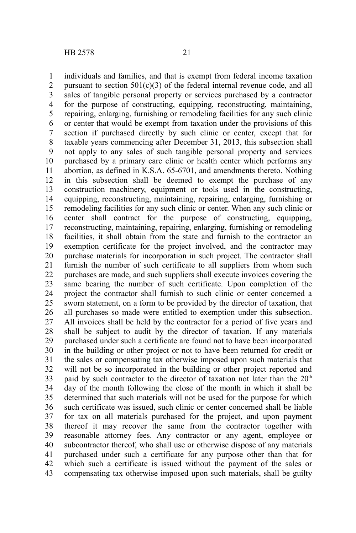individuals and families, and that is exempt from federal income taxation pursuant to section  $501(c)(3)$  of the federal internal revenue code, and all sales of tangible personal property or services purchased by a contractor for the purpose of constructing, equipping, reconstructing, maintaining, repairing, enlarging, furnishing or remodeling facilities for any such clinic or center that would be exempt from taxation under the provisions of this section if purchased directly by such clinic or center, except that for taxable years commencing after December 31, 2013, this subsection shall not apply to any sales of such tangible personal property and services purchased by a primary care clinic or health center which performs any abortion, as defined in K.S.A. 65-6701, and amendments thereto. Nothing in this subsection shall be deemed to exempt the purchase of any construction machinery, equipment or tools used in the constructing, equipping, reconstructing, maintaining, repairing, enlarging, furnishing or remodeling facilities for any such clinic or center. When any such clinic or center shall contract for the purpose of constructing, equipping, reconstructing, maintaining, repairing, enlarging, furnishing or remodeling facilities, it shall obtain from the state and furnish to the contractor an exemption certificate for the project involved, and the contractor may purchase materials for incorporation in such project. The contractor shall furnish the number of such certificate to all suppliers from whom such purchases are made, and such suppliers shall execute invoices covering the same bearing the number of such certificate. Upon completion of the project the contractor shall furnish to such clinic or center concerned a sworn statement, on a form to be provided by the director of taxation, that all purchases so made were entitled to exemption under this subsection. All invoices shall be held by the contractor for a period of five years and shall be subject to audit by the director of taxation. If any materials purchased under such a certificate are found not to have been incorporated in the building or other project or not to have been returned for credit or the sales or compensating tax otherwise imposed upon such materials that will not be so incorporated in the building or other project reported and paid by such contractor to the director of taxation not later than the  $20<sup>th</sup>$ day of the month following the close of the month in which it shall be determined that such materials will not be used for the purpose for which such certificate was issued, such clinic or center concerned shall be liable for tax on all materials purchased for the project, and upon payment thereof it may recover the same from the contractor together with reasonable attorney fees. Any contractor or any agent, employee or subcontractor thereof, who shall use or otherwise dispose of any materials purchased under such a certificate for any purpose other than that for which such a certificate is issued without the payment of the sales or compensating tax otherwise imposed upon such materials, shall be guilty 1 2 3 4 5 6 7 8 9 10 11 12 13 14 15 16 17 18 19 20 21 22 23 24 25 26 27 28 29 30 31 32 33 34 35 36 37 38 39 40 41 42 43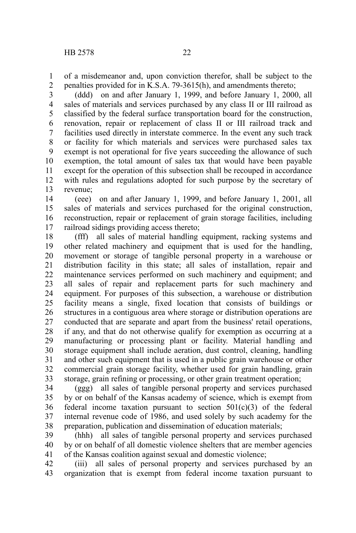of a misdemeanor and, upon conviction therefor, shall be subject to the penalties provided for in K.S.A. 79-3615(h), and amendments thereto; 1 2

(ddd) on and after January 1, 1999, and before January 1, 2000, all sales of materials and services purchased by any class II or III railroad as classified by the federal surface transportation board for the construction, renovation, repair or replacement of class II or III railroad track and facilities used directly in interstate commerce. In the event any such track or facility for which materials and services were purchased sales tax exempt is not operational for five years succeeding the allowance of such exemption, the total amount of sales tax that would have been payable except for the operation of this subsection shall be recouped in accordance with rules and regulations adopted for such purpose by the secretary of revenue; 3 4 5 6 7 8 9 10 11 12 13

(eee) on and after January 1, 1999, and before January 1, 2001, all sales of materials and services purchased for the original construction, reconstruction, repair or replacement of grain storage facilities, including railroad sidings providing access thereto; 14 15 16 17

(fff) all sales of material handling equipment, racking systems and other related machinery and equipment that is used for the handling, movement or storage of tangible personal property in a warehouse or distribution facility in this state; all sales of installation, repair and maintenance services performed on such machinery and equipment; and all sales of repair and replacement parts for such machinery and equipment. For purposes of this subsection, a warehouse or distribution facility means a single, fixed location that consists of buildings or structures in a contiguous area where storage or distribution operations are conducted that are separate and apart from the business' retail operations, if any, and that do not otherwise qualify for exemption as occurring at a manufacturing or processing plant or facility. Material handling and storage equipment shall include aeration, dust control, cleaning, handling and other such equipment that is used in a public grain warehouse or other commercial grain storage facility, whether used for grain handling, grain storage, grain refining or processing, or other grain treatment operation; 18 19 20 21 22 23 24 25 26 27 28 29 30 31 32 33

(ggg) all sales of tangible personal property and services purchased by or on behalf of the Kansas academy of science, which is exempt from federal income taxation pursuant to section  $501(c)(3)$  of the federal internal revenue code of 1986, and used solely by such academy for the preparation, publication and dissemination of education materials; 34 35 36 37 38

(hhh) all sales of tangible personal property and services purchased by or on behalf of all domestic violence shelters that are member agencies of the Kansas coalition against sexual and domestic violence; 39 40 41

(iii) all sales of personal property and services purchased by an organization that is exempt from federal income taxation pursuant to 42 43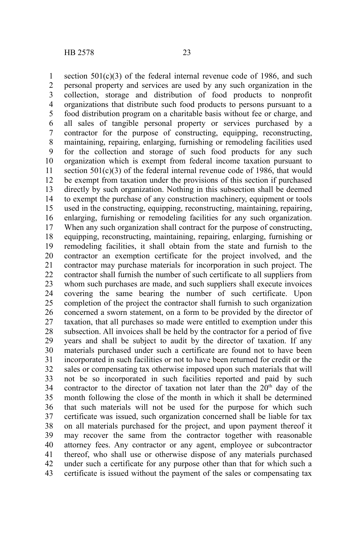section  $501(c)(3)$  of the federal internal revenue code of 1986, and such personal property and services are used by any such organization in the collection, storage and distribution of food products to nonprofit organizations that distribute such food products to persons pursuant to a food distribution program on a charitable basis without fee or charge, and all sales of tangible personal property or services purchased by a contractor for the purpose of constructing, equipping, reconstructing, maintaining, repairing, enlarging, furnishing or remodeling facilities used for the collection and storage of such food products for any such organization which is exempt from federal income taxation pursuant to section  $501(c)(3)$  of the federal internal revenue code of 1986, that would be exempt from taxation under the provisions of this section if purchased directly by such organization. Nothing in this subsection shall be deemed to exempt the purchase of any construction machinery, equipment or tools used in the constructing, equipping, reconstructing, maintaining, repairing, enlarging, furnishing or remodeling facilities for any such organization. When any such organization shall contract for the purpose of constructing, equipping, reconstructing, maintaining, repairing, enlarging, furnishing or remodeling facilities, it shall obtain from the state and furnish to the contractor an exemption certificate for the project involved, and the contractor may purchase materials for incorporation in such project. The contractor shall furnish the number of such certificate to all suppliers from whom such purchases are made, and such suppliers shall execute invoices covering the same bearing the number of such certificate. Upon completion of the project the contractor shall furnish to such organization concerned a sworn statement, on a form to be provided by the director of taxation, that all purchases so made were entitled to exemption under this subsection. All invoices shall be held by the contractor for a period of five years and shall be subject to audit by the director of taxation. If any materials purchased under such a certificate are found not to have been incorporated in such facilities or not to have been returned for credit or the sales or compensating tax otherwise imposed upon such materials that will not be so incorporated in such facilities reported and paid by such contractor to the director of taxation not later than the  $20<sup>th</sup>$  day of the month following the close of the month in which it shall be determined that such materials will not be used for the purpose for which such certificate was issued, such organization concerned shall be liable for tax on all materials purchased for the project, and upon payment thereof it may recover the same from the contractor together with reasonable attorney fees. Any contractor or any agent, employee or subcontractor thereof, who shall use or otherwise dispose of any materials purchased under such a certificate for any purpose other than that for which such a certificate is issued without the payment of the sales or compensating tax 1 2 3 4 5 6 7 8 9 10 11 12 13 14 15 16 17 18 19 20 21 22 23 24 25 26 27 28 29 30 31 32 33 34 35 36 37 38 39 40 41 42 43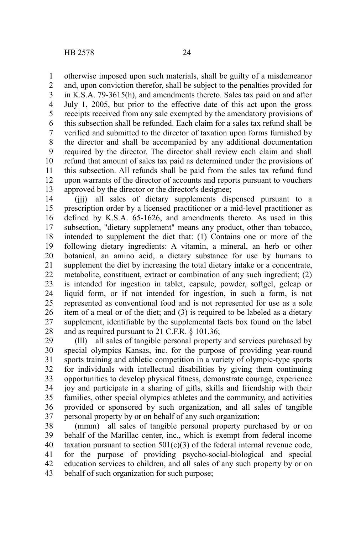otherwise imposed upon such materials, shall be guilty of a misdemeanor and, upon conviction therefor, shall be subject to the penalties provided for in K.S.A. 79-3615(h), and amendments thereto. Sales tax paid on and after July 1, 2005, but prior to the effective date of this act upon the gross receipts received from any sale exempted by the amendatory provisions of this subsection shall be refunded. Each claim for a sales tax refund shall be verified and submitted to the director of taxation upon forms furnished by the director and shall be accompanied by any additional documentation required by the director. The director shall review each claim and shall refund that amount of sales tax paid as determined under the provisions of this subsection. All refunds shall be paid from the sales tax refund fund upon warrants of the director of accounts and reports pursuant to vouchers approved by the director or the director's designee; 1 2 3 4 5 6 7 8 9 10 11 12 13

(jjj) all sales of dietary supplements dispensed pursuant to a prescription order by a licensed practitioner or a mid-level practitioner as defined by K.S.A. 65-1626, and amendments thereto. As used in this subsection, "dietary supplement" means any product, other than tobacco, intended to supplement the diet that: (1) Contains one or more of the following dietary ingredients: A vitamin, a mineral, an herb or other botanical, an amino acid, a dietary substance for use by humans to supplement the diet by increasing the total dietary intake or a concentrate, metabolite, constituent, extract or combination of any such ingredient; (2) is intended for ingestion in tablet, capsule, powder, softgel, gelcap or liquid form, or if not intended for ingestion, in such a form, is not represented as conventional food and is not represented for use as a sole item of a meal or of the diet; and (3) is required to be labeled as a dietary supplement, identifiable by the supplemental facts box found on the label and as required pursuant to 21 C.F.R. § 101.36; 14 15 16 17 18 19 20 21 22 23 24 25 26 27 28

(lll) all sales of tangible personal property and services purchased by special olympics Kansas, inc. for the purpose of providing year-round sports training and athletic competition in a variety of olympic-type sports for individuals with intellectual disabilities by giving them continuing opportunities to develop physical fitness, demonstrate courage, experience joy and participate in a sharing of gifts, skills and friendship with their families, other special olympics athletes and the community, and activities provided or sponsored by such organization, and all sales of tangible personal property by or on behalf of any such organization; 29 30 31 32 33 34 35 36 37

(mmm) all sales of tangible personal property purchased by or on behalf of the Marillac center, inc., which is exempt from federal income taxation pursuant to section  $501(c)(3)$  of the federal internal revenue code, for the purpose of providing psycho-social-biological and special education services to children, and all sales of any such property by or on behalf of such organization for such purpose; 38 39 40 41 42 43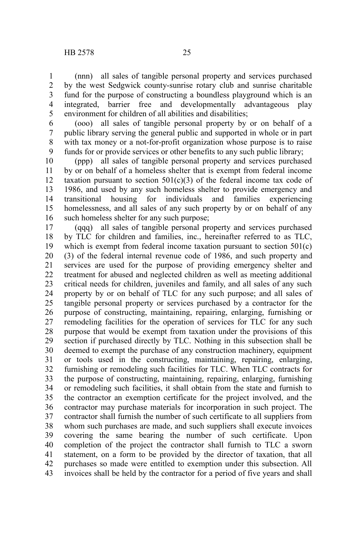(nnn) all sales of tangible personal property and services purchased by the west Sedgwick county-sunrise rotary club and sunrise charitable fund for the purpose of constructing a boundless playground which is an integrated, barrier free and developmentally advantageous play environment for children of all abilities and disabilities; 1 2 3 4 5

(ooo) all sales of tangible personal property by or on behalf of a public library serving the general public and supported in whole or in part with tax money or a not-for-profit organization whose purpose is to raise funds for or provide services or other benefits to any such public library; 6 7 8 9

(ppp) all sales of tangible personal property and services purchased by or on behalf of a homeless shelter that is exempt from federal income taxation pursuant to section  $501(c)(3)$  of the federal income tax code of 1986, and used by any such homeless shelter to provide emergency and transitional housing for individuals and families experiencing homelessness, and all sales of any such property by or on behalf of any such homeless shelter for any such purpose; 10 11 12 13 14 15 16

(qqq) all sales of tangible personal property and services purchased by TLC for children and families, inc., hereinafter referred to as TLC, which is exempt from federal income taxation pursuant to section 501(c) (3) of the federal internal revenue code of 1986, and such property and services are used for the purpose of providing emergency shelter and treatment for abused and neglected children as well as meeting additional critical needs for children, juveniles and family, and all sales of any such property by or on behalf of TLC for any such purpose; and all sales of tangible personal property or services purchased by a contractor for the purpose of constructing, maintaining, repairing, enlarging, furnishing or remodeling facilities for the operation of services for TLC for any such purpose that would be exempt from taxation under the provisions of this section if purchased directly by TLC. Nothing in this subsection shall be deemed to exempt the purchase of any construction machinery, equipment or tools used in the constructing, maintaining, repairing, enlarging, furnishing or remodeling such facilities for TLC. When TLC contracts for the purpose of constructing, maintaining, repairing, enlarging, furnishing or remodeling such facilities, it shall obtain from the state and furnish to the contractor an exemption certificate for the project involved, and the contractor may purchase materials for incorporation in such project. The contractor shall furnish the number of such certificate to all suppliers from whom such purchases are made, and such suppliers shall execute invoices covering the same bearing the number of such certificate. Upon completion of the project the contractor shall furnish to TLC a sworn statement, on a form to be provided by the director of taxation, that all purchases so made were entitled to exemption under this subsection. All invoices shall be held by the contractor for a period of five years and shall 17 18 19 20 21 22 23 24 25 26 27 28 29 30 31 32 33 34 35 36 37 38 39 40 41 42 43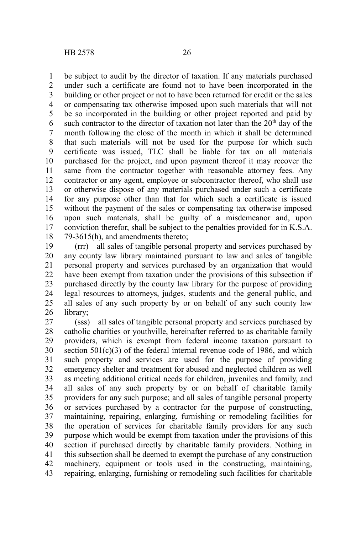be subject to audit by the director of taxation. If any materials purchased under such a certificate are found not to have been incorporated in the building or other project or not to have been returned for credit or the sales or compensating tax otherwise imposed upon such materials that will not be so incorporated in the building or other project reported and paid by such contractor to the director of taxation not later than the  $20<sup>th</sup>$  day of the month following the close of the month in which it shall be determined that such materials will not be used for the purpose for which such certificate was issued, TLC shall be liable for tax on all materials purchased for the project, and upon payment thereof it may recover the same from the contractor together with reasonable attorney fees. Any contractor or any agent, employee or subcontractor thereof, who shall use or otherwise dispose of any materials purchased under such a certificate for any purpose other than that for which such a certificate is issued without the payment of the sales or compensating tax otherwise imposed upon such materials, shall be guilty of a misdemeanor and, upon conviction therefor, shall be subject to the penalties provided for in K.S.A. 79-3615(h), and amendments thereto; 1 2 3 4 5 6 7 8 9 10 11 12 13 14 15 16 17 18

(rrr) all sales of tangible personal property and services purchased by any county law library maintained pursuant to law and sales of tangible personal property and services purchased by an organization that would have been exempt from taxation under the provisions of this subsection if purchased directly by the county law library for the purpose of providing legal resources to attorneys, judges, students and the general public, and all sales of any such property by or on behalf of any such county law library; 19 20 21 22 23 24 25 26

(sss) all sales of tangible personal property and services purchased by catholic charities or youthville, hereinafter referred to as charitable family providers, which is exempt from federal income taxation pursuant to section  $501(c)(3)$  of the federal internal revenue code of 1986, and which such property and services are used for the purpose of providing emergency shelter and treatment for abused and neglected children as well as meeting additional critical needs for children, juveniles and family, and all sales of any such property by or on behalf of charitable family providers for any such purpose; and all sales of tangible personal property or services purchased by a contractor for the purpose of constructing, maintaining, repairing, enlarging, furnishing or remodeling facilities for the operation of services for charitable family providers for any such purpose which would be exempt from taxation under the provisions of this section if purchased directly by charitable family providers. Nothing in this subsection shall be deemed to exempt the purchase of any construction machinery, equipment or tools used in the constructing, maintaining, repairing, enlarging, furnishing or remodeling such facilities for charitable 27 28 29 30 31 32 33 34 35 36 37 38 39 40 41 42 43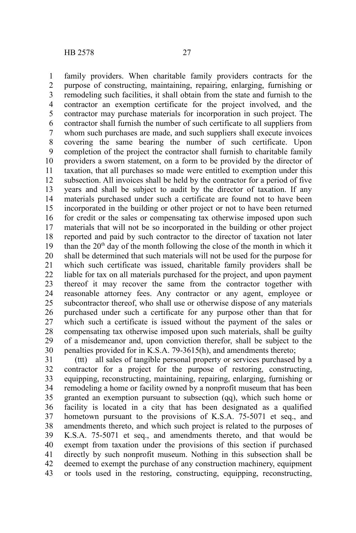family providers. When charitable family providers contracts for the purpose of constructing, maintaining, repairing, enlarging, furnishing or remodeling such facilities, it shall obtain from the state and furnish to the contractor an exemption certificate for the project involved, and the contractor may purchase materials for incorporation in such project. The contractor shall furnish the number of such certificate to all suppliers from whom such purchases are made, and such suppliers shall execute invoices covering the same bearing the number of such certificate. Upon completion of the project the contractor shall furnish to charitable family providers a sworn statement, on a form to be provided by the director of taxation, that all purchases so made were entitled to exemption under this subsection. All invoices shall be held by the contractor for a period of five years and shall be subject to audit by the director of taxation. If any materials purchased under such a certificate are found not to have been incorporated in the building or other project or not to have been returned for credit or the sales or compensating tax otherwise imposed upon such materials that will not be so incorporated in the building or other project reported and paid by such contractor to the director of taxation not later than the  $20<sup>th</sup>$  day of the month following the close of the month in which it shall be determined that such materials will not be used for the purpose for which such certificate was issued, charitable family providers shall be liable for tax on all materials purchased for the project, and upon payment thereof it may recover the same from the contractor together with reasonable attorney fees. Any contractor or any agent, employee or subcontractor thereof, who shall use or otherwise dispose of any materials purchased under such a certificate for any purpose other than that for which such a certificate is issued without the payment of the sales or compensating tax otherwise imposed upon such materials, shall be guilty of a misdemeanor and, upon conviction therefor, shall be subject to the penalties provided for in K.S.A. 79-3615(h), and amendments thereto; 1 2 3 4 5 6 7 8 9 10 11 12 13 14 15 16 17 18 19 20 21 22 23 24 25 26 27 28 29 30

(ttt) all sales of tangible personal property or services purchased by a contractor for a project for the purpose of restoring, constructing, equipping, reconstructing, maintaining, repairing, enlarging, furnishing or remodeling a home or facility owned by a nonprofit museum that has been granted an exemption pursuant to subsection (qq), which such home or facility is located in a city that has been designated as a qualified hometown pursuant to the provisions of K.S.A. 75-5071 et seq., and amendments thereto, and which such project is related to the purposes of K.S.A. 75-5071 et seq., and amendments thereto, and that would be exempt from taxation under the provisions of this section if purchased directly by such nonprofit museum. Nothing in this subsection shall be deemed to exempt the purchase of any construction machinery, equipment or tools used in the restoring, constructing, equipping, reconstructing, 31 32 33 34 35 36 37 38 39 40 41 42 43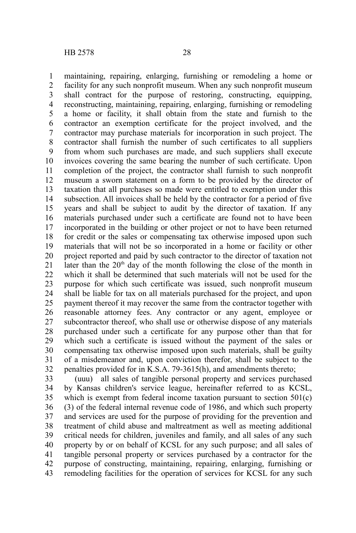maintaining, repairing, enlarging, furnishing or remodeling a home or facility for any such nonprofit museum. When any such nonprofit museum shall contract for the purpose of restoring, constructing, equipping, reconstructing, maintaining, repairing, enlarging, furnishing or remodeling a home or facility, it shall obtain from the state and furnish to the contractor an exemption certificate for the project involved, and the contractor may purchase materials for incorporation in such project. The contractor shall furnish the number of such certificates to all suppliers from whom such purchases are made, and such suppliers shall execute invoices covering the same bearing the number of such certificate. Upon completion of the project, the contractor shall furnish to such nonprofit museum a sworn statement on a form to be provided by the director of taxation that all purchases so made were entitled to exemption under this subsection. All invoices shall be held by the contractor for a period of five years and shall be subject to audit by the director of taxation. If any materials purchased under such a certificate are found not to have been incorporated in the building or other project or not to have been returned for credit or the sales or compensating tax otherwise imposed upon such materials that will not be so incorporated in a home or facility or other project reported and paid by such contractor to the director of taxation not later than the 20<sup>th</sup> day of the month following the close of the month in which it shall be determined that such materials will not be used for the purpose for which such certificate was issued, such nonprofit museum shall be liable for tax on all materials purchased for the project, and upon payment thereof it may recover the same from the contractor together with reasonable attorney fees. Any contractor or any agent, employee or subcontractor thereof, who shall use or otherwise dispose of any materials purchased under such a certificate for any purpose other than that for which such a certificate is issued without the payment of the sales or compensating tax otherwise imposed upon such materials, shall be guilty of a misdemeanor and, upon conviction therefor, shall be subject to the penalties provided for in K.S.A. 79-3615(h), and amendments thereto; 1 2 3 4 5 6 7 8 9 10 11 12 13 14 15 16 17 18 19 20 21 22 23 24 25 26 27 28 29 30 31 32

(uuu) all sales of tangible personal property and services purchased by Kansas children's service league, hereinafter referred to as KCSL, which is exempt from federal income taxation pursuant to section 501(c) (3) of the federal internal revenue code of 1986, and which such property and services are used for the purpose of providing for the prevention and treatment of child abuse and maltreatment as well as meeting additional critical needs for children, juveniles and family, and all sales of any such property by or on behalf of KCSL for any such purpose; and all sales of tangible personal property or services purchased by a contractor for the purpose of constructing, maintaining, repairing, enlarging, furnishing or remodeling facilities for the operation of services for KCSL for any such 33 34 35 36 37 38 39 40 41 42 43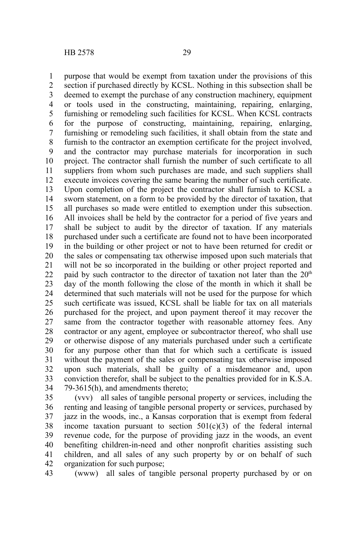purpose that would be exempt from taxation under the provisions of this section if purchased directly by KCSL. Nothing in this subsection shall be deemed to exempt the purchase of any construction machinery, equipment or tools used in the constructing, maintaining, repairing, enlarging, furnishing or remodeling such facilities for KCSL. When KCSL contracts for the purpose of constructing, maintaining, repairing, enlarging, furnishing or remodeling such facilities, it shall obtain from the state and furnish to the contractor an exemption certificate for the project involved, and the contractor may purchase materials for incorporation in such project. The contractor shall furnish the number of such certificate to all suppliers from whom such purchases are made, and such suppliers shall execute invoices covering the same bearing the number of such certificate. Upon completion of the project the contractor shall furnish to KCSL a sworn statement, on a form to be provided by the director of taxation, that all purchases so made were entitled to exemption under this subsection. All invoices shall be held by the contractor for a period of five years and shall be subject to audit by the director of taxation. If any materials purchased under such a certificate are found not to have been incorporated in the building or other project or not to have been returned for credit or the sales or compensating tax otherwise imposed upon such materials that will not be so incorporated in the building or other project reported and paid by such contractor to the director of taxation not later than the  $20<sup>th</sup>$ day of the month following the close of the month in which it shall be determined that such materials will not be used for the purpose for which such certificate was issued, KCSL shall be liable for tax on all materials purchased for the project, and upon payment thereof it may recover the same from the contractor together with reasonable attorney fees. Any contractor or any agent, employee or subcontractor thereof, who shall use or otherwise dispose of any materials purchased under such a certificate for any purpose other than that for which such a certificate is issued without the payment of the sales or compensating tax otherwise imposed upon such materials, shall be guilty of a misdemeanor and, upon conviction therefor, shall be subject to the penalties provided for in K.S.A. 79-3615(h), and amendments thereto; 1 2 3 4 5 6 7 8 9 10 11 12 13 14 15 16 17 18 19 20 21 22 23 24 25 26 27 28 29 30 31 32 33 34

(vvv) all sales of tangible personal property or services, including the renting and leasing of tangible personal property or services, purchased by jazz in the woods, inc., a Kansas corporation that is exempt from federal income taxation pursuant to section  $501(c)(3)$  of the federal internal revenue code, for the purpose of providing jazz in the woods, an event benefiting children-in-need and other nonprofit charities assisting such children, and all sales of any such property by or on behalf of such organization for such purpose; 35 36 37 38 39 40 41 42

(www) all sales of tangible personal property purchased by or on 43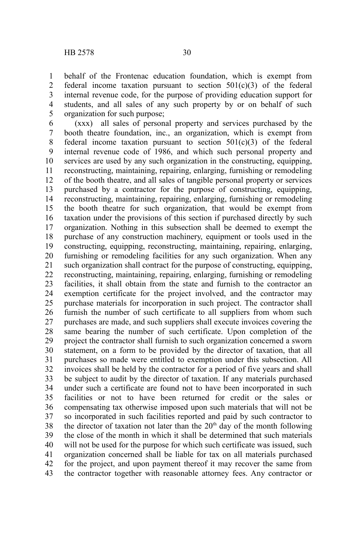behalf of the Frontenac education foundation, which is exempt from federal income taxation pursuant to section  $501(c)(3)$  of the federal internal revenue code, for the purpose of providing education support for students, and all sales of any such property by or on behalf of such organization for such purpose; 1 2 3 4 5

(xxx) all sales of personal property and services purchased by the booth theatre foundation, inc., an organization, which is exempt from federal income taxation pursuant to section  $501(c)(3)$  of the federal internal revenue code of 1986, and which such personal property and services are used by any such organization in the constructing, equipping, reconstructing, maintaining, repairing, enlarging, furnishing or remodeling of the booth theatre, and all sales of tangible personal property or services purchased by a contractor for the purpose of constructing, equipping, reconstructing, maintaining, repairing, enlarging, furnishing or remodeling the booth theatre for such organization, that would be exempt from taxation under the provisions of this section if purchased directly by such organization. Nothing in this subsection shall be deemed to exempt the purchase of any construction machinery, equipment or tools used in the constructing, equipping, reconstructing, maintaining, repairing, enlarging, furnishing or remodeling facilities for any such organization. When any such organization shall contract for the purpose of constructing, equipping, reconstructing, maintaining, repairing, enlarging, furnishing or remodeling facilities, it shall obtain from the state and furnish to the contractor an exemption certificate for the project involved, and the contractor may purchase materials for incorporation in such project. The contractor shall furnish the number of such certificate to all suppliers from whom such purchases are made, and such suppliers shall execute invoices covering the same bearing the number of such certificate. Upon completion of the project the contractor shall furnish to such organization concerned a sworn statement, on a form to be provided by the director of taxation, that all purchases so made were entitled to exemption under this subsection. All invoices shall be held by the contractor for a period of five years and shall be subject to audit by the director of taxation. If any materials purchased under such a certificate are found not to have been incorporated in such facilities or not to have been returned for credit or the sales or compensating tax otherwise imposed upon such materials that will not be so incorporated in such facilities reported and paid by such contractor to the director of taxation not later than the  $20<sup>th</sup>$  day of the month following the close of the month in which it shall be determined that such materials will not be used for the purpose for which such certificate was issued, such organization concerned shall be liable for tax on all materials purchased for the project, and upon payment thereof it may recover the same from the contractor together with reasonable attorney fees. Any contractor or 6 7 8 9 10 11 12 13 14 15 16 17 18 19 20 21 22 23 24 25 26 27 28 29 30 31 32 33 34 35 36 37 38 39 40 41 42 43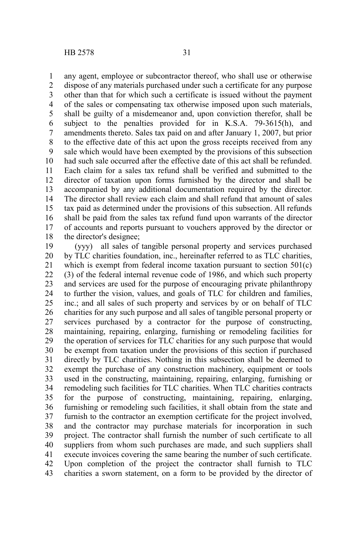any agent, employee or subcontractor thereof, who shall use or otherwise dispose of any materials purchased under such a certificate for any purpose other than that for which such a certificate is issued without the payment of the sales or compensating tax otherwise imposed upon such materials, shall be guilty of a misdemeanor and, upon conviction therefor, shall be subject to the penalties provided for in K.S.A. 79-3615(h), and amendments thereto. Sales tax paid on and after January 1, 2007, but prior to the effective date of this act upon the gross receipts received from any sale which would have been exempted by the provisions of this subsection had such sale occurred after the effective date of this act shall be refunded. Each claim for a sales tax refund shall be verified and submitted to the director of taxation upon forms furnished by the director and shall be accompanied by any additional documentation required by the director. The director shall review each claim and shall refund that amount of sales tax paid as determined under the provisions of this subsection. All refunds shall be paid from the sales tax refund fund upon warrants of the director of accounts and reports pursuant to vouchers approved by the director or the director's designee; 1 2 3 4 5 6 7 8 9 10 11 12 13 14 15 16 17 18

(yyy) all sales of tangible personal property and services purchased by TLC charities foundation, inc., hereinafter referred to as TLC charities, which is exempt from federal income taxation pursuant to section 501(c) (3) of the federal internal revenue code of 1986, and which such property and services are used for the purpose of encouraging private philanthropy to further the vision, values, and goals of TLC for children and families, inc.; and all sales of such property and services by or on behalf of TLC charities for any such purpose and all sales of tangible personal property or services purchased by a contractor for the purpose of constructing, maintaining, repairing, enlarging, furnishing or remodeling facilities for the operation of services for TLC charities for any such purpose that would be exempt from taxation under the provisions of this section if purchased directly by TLC charities. Nothing in this subsection shall be deemed to exempt the purchase of any construction machinery, equipment or tools used in the constructing, maintaining, repairing, enlarging, furnishing or remodeling such facilities for TLC charities. When TLC charities contracts for the purpose of constructing, maintaining, repairing, enlarging, furnishing or remodeling such facilities, it shall obtain from the state and furnish to the contractor an exemption certificate for the project involved, and the contractor may purchase materials for incorporation in such project. The contractor shall furnish the number of such certificate to all suppliers from whom such purchases are made, and such suppliers shall execute invoices covering the same bearing the number of such certificate. Upon completion of the project the contractor shall furnish to TLC charities a sworn statement, on a form to be provided by the director of 19 20 21 22 23 24 25 26 27 28 29 30 31 32 33 34 35 36 37 38 39 40 41 42 43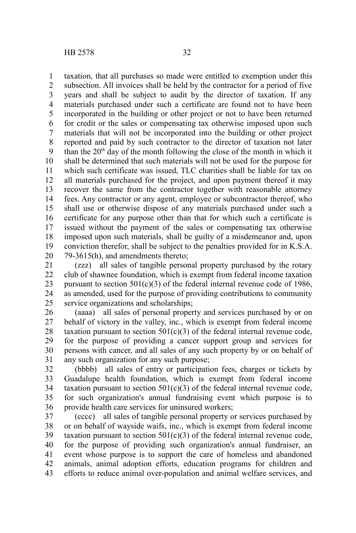taxation, that all purchases so made were entitled to exemption under this subsection. All invoices shall be held by the contractor for a period of five years and shall be subject to audit by the director of taxation. If any materials purchased under such a certificate are found not to have been incorporated in the building or other project or not to have been returned for credit or the sales or compensating tax otherwise imposed upon such materials that will not be incorporated into the building or other project reported and paid by such contractor to the director of taxation not later than the  $20<sup>th</sup>$  day of the month following the close of the month in which it shall be determined that such materials will not be used for the purpose for which such certificate was issued. TLC charities shall be liable for tax on all materials purchased for the project, and upon payment thereof it may recover the same from the contractor together with reasonable attorney fees. Any contractor or any agent, employee or subcontractor thereof, who shall use or otherwise dispose of any materials purchased under such a certificate for any purpose other than that for which such a certificate is issued without the payment of the sales or compensating tax otherwise imposed upon such materials, shall be guilty of a misdemeanor and, upon conviction therefor, shall be subject to the penalties provided for in K.S.A. 79-3615(h), and amendments thereto; 1 2 3 4 5 6 7 8 9 10 11 12 13 14 15 16 17 18 19 20

(zzz) all sales of tangible personal property purchased by the rotary club of shawnee foundation, which is exempt from federal income taxation pursuant to section  $501(c)(3)$  of the federal internal revenue code of 1986. as amended, used for the purpose of providing contributions to community service organizations and scholarships; 21 22 23 24 25

(aaaa) all sales of personal property and services purchased by or on behalf of victory in the valley, inc., which is exempt from federal income taxation pursuant to section  $501(c)(3)$  of the federal internal revenue code, for the purpose of providing a cancer support group and services for persons with cancer, and all sales of any such property by or on behalf of any such organization for any such purpose; 26 27 28 29 30 31

(bbbb) all sales of entry or participation fees, charges or tickets by Guadalupe health foundation, which is exempt from federal income taxation pursuant to section  $501(c)(3)$  of the federal internal revenue code, for such organization's annual fundraising event which purpose is to provide health care services for uninsured workers; 32 33 34 35 36

(cccc) all sales of tangible personal property or services purchased by or on behalf of wayside waifs, inc., which is exempt from federal income taxation pursuant to section  $501(c)(3)$  of the federal internal revenue code, for the purpose of providing such organization's annual fundraiser, an event whose purpose is to support the care of homeless and abandoned animals, animal adoption efforts, education programs for children and efforts to reduce animal over-population and animal welfare services, and 37 38 39 40 41 42 43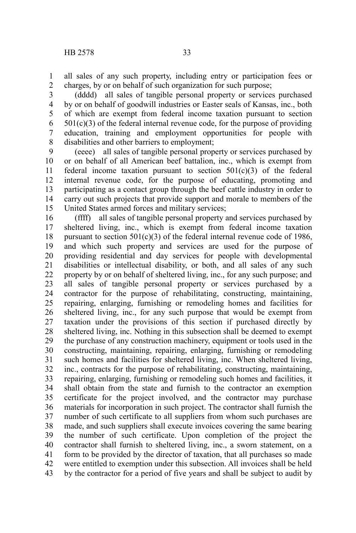all sales of any such property, including entry or participation fees or charges, by or on behalf of such organization for such purpose; 1 2

(dddd) all sales of tangible personal property or services purchased by or on behalf of goodwill industries or Easter seals of Kansas, inc., both of which are exempt from federal income taxation pursuant to section  $501(c)(3)$  of the federal internal revenue code, for the purpose of providing education, training and employment opportunities for people with disabilities and other barriers to employment; 3 4 5 6 7 8

(eeee) all sales of tangible personal property or services purchased by or on behalf of all American beef battalion, inc., which is exempt from federal income taxation pursuant to section  $501(c)(3)$  of the federal internal revenue code, for the purpose of educating, promoting and participating as a contact group through the beef cattle industry in order to carry out such projects that provide support and morale to members of the United States armed forces and military services; 9 10 11 12 13 14 15

(ffff) all sales of tangible personal property and services purchased by sheltered living, inc., which is exempt from federal income taxation pursuant to section  $501(c)(3)$  of the federal internal revenue code of 1986, and which such property and services are used for the purpose of providing residential and day services for people with developmental disabilities or intellectual disability, or both, and all sales of any such property by or on behalf of sheltered living, inc., for any such purpose; and all sales of tangible personal property or services purchased by a contractor for the purpose of rehabilitating, constructing, maintaining, repairing, enlarging, furnishing or remodeling homes and facilities for sheltered living, inc., for any such purpose that would be exempt from taxation under the provisions of this section if purchased directly by sheltered living, inc. Nothing in this subsection shall be deemed to exempt the purchase of any construction machinery, equipment or tools used in the constructing, maintaining, repairing, enlarging, furnishing or remodeling such homes and facilities for sheltered living, inc. When sheltered living, inc., contracts for the purpose of rehabilitating, constructing, maintaining, repairing, enlarging, furnishing or remodeling such homes and facilities, it shall obtain from the state and furnish to the contractor an exemption certificate for the project involved, and the contractor may purchase materials for incorporation in such project. The contractor shall furnish the number of such certificate to all suppliers from whom such purchases are made, and such suppliers shall execute invoices covering the same bearing the number of such certificate. Upon completion of the project the contractor shall furnish to sheltered living, inc., a sworn statement, on a form to be provided by the director of taxation, that all purchases so made were entitled to exemption under this subsection. All invoices shall be held by the contractor for a period of five years and shall be subject to audit by 16 17 18 19 20 21 22 23 24 25 26 27 28 29 30 31 32 33 34 35 36 37 38 39 40 41 42 43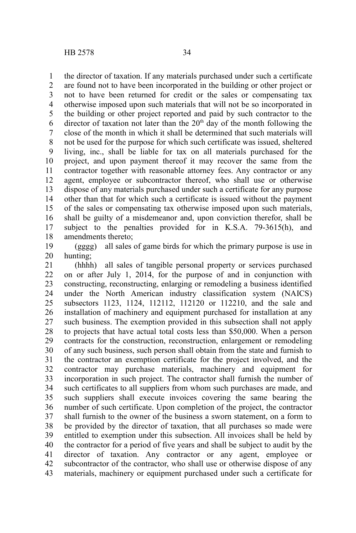the director of taxation. If any materials purchased under such a certificate are found not to have been incorporated in the building or other project or not to have been returned for credit or the sales or compensating tax otherwise imposed upon such materials that will not be so incorporated in the building or other project reported and paid by such contractor to the director of taxation not later than the  $20<sup>th</sup>$  day of the month following the close of the month in which it shall be determined that such materials will not be used for the purpose for which such certificate was issued, sheltered living, inc., shall be liable for tax on all materials purchased for the project, and upon payment thereof it may recover the same from the contractor together with reasonable attorney fees. Any contractor or any agent, employee or subcontractor thereof, who shall use or otherwise dispose of any materials purchased under such a certificate for any purpose other than that for which such a certificate is issued without the payment of the sales or compensating tax otherwise imposed upon such materials, shall be guilty of a misdemeanor and, upon conviction therefor, shall be subject to the penalties provided for in K.S.A. 79-3615(h), and amendments thereto; 1 2 3 4 5 6 7 8 9 10 11 12 13 14 15 16 17 18

(gggg) all sales of game birds for which the primary purpose is use in hunting; 19 20

(hhhh) all sales of tangible personal property or services purchased on or after July 1, 2014, for the purpose of and in conjunction with constructing, reconstructing, enlarging or remodeling a business identified under the North American industry classification system (NAICS) subsectors 1123, 1124, 112112, 112120 or 112210, and the sale and installation of machinery and equipment purchased for installation at any such business. The exemption provided in this subsection shall not apply to projects that have actual total costs less than \$50,000. When a person contracts for the construction, reconstruction, enlargement or remodeling of any such business, such person shall obtain from the state and furnish to the contractor an exemption certificate for the project involved, and the contractor may purchase materials, machinery and equipment for incorporation in such project. The contractor shall furnish the number of such certificates to all suppliers from whom such purchases are made, and such suppliers shall execute invoices covering the same bearing the number of such certificate. Upon completion of the project, the contractor shall furnish to the owner of the business a sworn statement, on a form to be provided by the director of taxation, that all purchases so made were entitled to exemption under this subsection. All invoices shall be held by the contractor for a period of five years and shall be subject to audit by the director of taxation. Any contractor or any agent, employee or subcontractor of the contractor, who shall use or otherwise dispose of any materials, machinery or equipment purchased under such a certificate for 21 22 23 24 25 26 27 28 29 30 31 32 33 34 35 36 37 38 39 40 41 42 43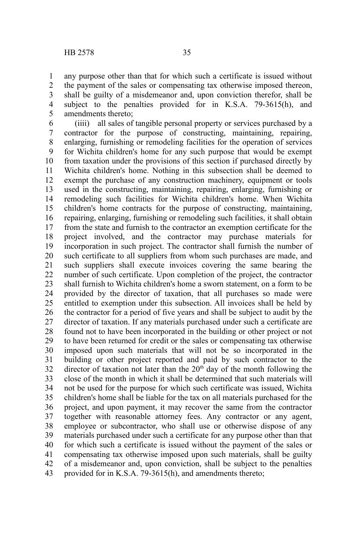any purpose other than that for which such a certificate is issued without the payment of the sales or compensating tax otherwise imposed thereon, shall be guilty of a misdemeanor and, upon conviction therefor, shall be subject to the penalties provided for in K.S.A. 79-3615(h), and amendments thereto; 1 2 3 4 5

(iiii) all sales of tangible personal property or services purchased by a contractor for the purpose of constructing, maintaining, repairing, enlarging, furnishing or remodeling facilities for the operation of services for Wichita children's home for any such purpose that would be exempt from taxation under the provisions of this section if purchased directly by Wichita children's home. Nothing in this subsection shall be deemed to exempt the purchase of any construction machinery, equipment or tools used in the constructing, maintaining, repairing, enlarging, furnishing or remodeling such facilities for Wichita children's home. When Wichita children's home contracts for the purpose of constructing, maintaining, repairing, enlarging, furnishing or remodeling such facilities, it shall obtain from the state and furnish to the contractor an exemption certificate for the project involved, and the contractor may purchase materials for incorporation in such project. The contractor shall furnish the number of such certificate to all suppliers from whom such purchases are made, and such suppliers shall execute invoices covering the same bearing the number of such certificate. Upon completion of the project, the contractor shall furnish to Wichita children's home a sworn statement, on a form to be provided by the director of taxation, that all purchases so made were entitled to exemption under this subsection. All invoices shall be held by the contractor for a period of five years and shall be subject to audit by the director of taxation. If any materials purchased under such a certificate are found not to have been incorporated in the building or other project or not to have been returned for credit or the sales or compensating tax otherwise imposed upon such materials that will not be so incorporated in the building or other project reported and paid by such contractor to the director of taxation not later than the  $20<sup>th</sup>$  day of the month following the close of the month in which it shall be determined that such materials will not be used for the purpose for which such certificate was issued, Wichita children's home shall be liable for the tax on all materials purchased for the project, and upon payment, it may recover the same from the contractor together with reasonable attorney fees. Any contractor or any agent, employee or subcontractor, who shall use or otherwise dispose of any materials purchased under such a certificate for any purpose other than that for which such a certificate is issued without the payment of the sales or compensating tax otherwise imposed upon such materials, shall be guilty of a misdemeanor and, upon conviction, shall be subject to the penalties provided for in K.S.A. 79-3615(h), and amendments thereto; 6 7 8 9 10 11 12 13 14 15 16 17 18 19 20 21 22 23 24 25 26 27 28 29 30 31 32 33 34 35 36 37 38 39 40 41 42 43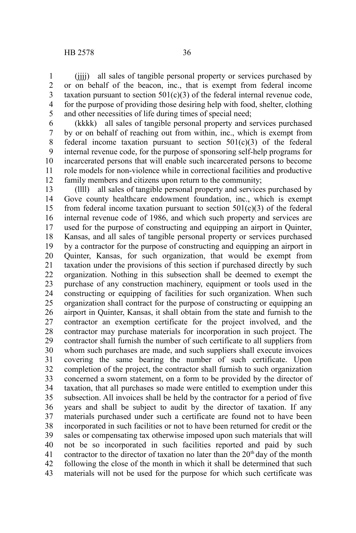(iiii) all sales of tangible personal property or services purchased by or on behalf of the beacon, inc., that is exempt from federal income taxation pursuant to section  $501(c)(3)$  of the federal internal revenue code, for the purpose of providing those desiring help with food, shelter, clothing and other necessities of life during times of special need; 1 2 3 4 5

(kkkk) all sales of tangible personal property and services purchased by or on behalf of reaching out from within, inc., which is exempt from federal income taxation pursuant to section  $501(c)(3)$  of the federal internal revenue code, for the purpose of sponsoring self-help programs for incarcerated persons that will enable such incarcerated persons to become role models for non-violence while in correctional facilities and productive family members and citizens upon return to the community; 6 7 8 9 10 11 12

(llll) all sales of tangible personal property and services purchased by Gove county healthcare endowment foundation, inc., which is exempt from federal income taxation pursuant to section  $501(c)(3)$  of the federal internal revenue code of 1986, and which such property and services are used for the purpose of constructing and equipping an airport in Quinter, Kansas, and all sales of tangible personal property or services purchased by a contractor for the purpose of constructing and equipping an airport in Quinter, Kansas, for such organization, that would be exempt from taxation under the provisions of this section if purchased directly by such organization. Nothing in this subsection shall be deemed to exempt the purchase of any construction machinery, equipment or tools used in the constructing or equipping of facilities for such organization. When such organization shall contract for the purpose of constructing or equipping an airport in Quinter, Kansas, it shall obtain from the state and furnish to the contractor an exemption certificate for the project involved, and the contractor may purchase materials for incorporation in such project. The contractor shall furnish the number of such certificate to all suppliers from whom such purchases are made, and such suppliers shall execute invoices covering the same bearing the number of such certificate. Upon completion of the project, the contractor shall furnish to such organization concerned a sworn statement, on a form to be provided by the director of taxation, that all purchases so made were entitled to exemption under this subsection. All invoices shall be held by the contractor for a period of five years and shall be subject to audit by the director of taxation. If any materials purchased under such a certificate are found not to have been incorporated in such facilities or not to have been returned for credit or the sales or compensating tax otherwise imposed upon such materials that will not be so incorporated in such facilities reported and paid by such contractor to the director of taxation no later than the  $20<sup>th</sup>$  day of the month following the close of the month in which it shall be determined that such materials will not be used for the purpose for which such certificate was 13 14 15 16 17 18 19 20 21 22 23 24 25 26 27 28 29 30 31 32 33 34 35 36 37 38 39 40 41 42 43